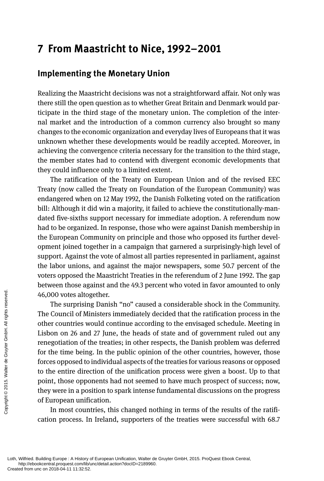# **7 From Maastricht to Nice, 1992–2001**

#### **Implementing the Monetary Union**

Realizing the Maastricht decisions was not a straightforward affair. Not only was there still the open question as to whether Great Britain and Denmark would participate in the third stage of the monetary union. The completion of the internal market and the introduction of a common currency also brought so many changes to the economic organization and everyday lives of Europeans that it was unknown whether these developments would be readily accepted. Moreover, in achieving the convergence criteria necessary for the transition to the third stage, the member states had to contend with divergent economic developments that they could influence only to a limited extent.

The ratification of the Treaty on European Union and of the revised EEC Treaty (now called the Treaty on Foundation of the European Community) was endangered when on 12 May 1992, the Danish Folketing voted on the ratification bill: Although it did win a majority, it failed to achieve the constitutionally-mandated five-sixths support necessary for immediate adoption. A referendum now had to be organized. In response, those who were against Danish membership in the European Community on principle and those who opposed its further development joined together in a campaign that garnered a surprisingly-high level of support. Against the vote of almost all parties represented in parliament, against the labor unions, and against the major newspapers, some 50.7 percent of the voters opposed the Maastricht Treaties in the referendum of 2 June 1992. The gap between those against and the 49.3 percent who voted in favor amounted to only 46,000 votes altogether.

The surprising Danish "no" caused a considerable shock in the Community. The Council of Ministers immediately decided that the ratification process in the other countries would continue according to the envisaged schedule. Meeting in Lisbon on 26 and 27 June, the heads of state and of government ruled out any renegotiation of the treaties; in other respects, the Danish problem was deferred for the time being. In the public opinion of the other countries, however, those forces opposed to individual aspects of the treaties for various reasons or opposed to the entire direction of the unification process were given a boost. Up to that point, those opponents had not seemed to have much prospect of success; now, they were in a position to spark intense fundamental discussions on the progress of European unification. **Exerces From Unc (1000)**<br>
The Surprisin<br>
The Council of Mi<br>
other countries we<br>
Lisbon on 26 and<br>
renegotiation of tl<br>
for the time being<br>
forces opposed to<br>
to the entire direct<br>
point, those oppo<br>
they were in a pos<br>
o

In most countries, this changed nothing in terms of the results of the ratification process. In Ireland, supporters of the treaties were successful with 68.7

Loth, Wilfried. Building Europe : A History of European Unification, Walter de Gruyter GmbH, 2015. ProQuest Ebook Central, http://ebookcentral.proquest.com/lib/unc/detail.action?docID=2189960.<br>Created from unc on 2018-04-11 11:32:52.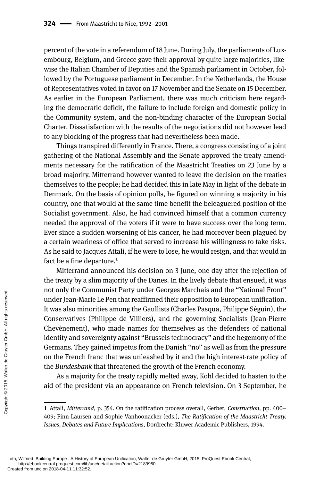percent of the vote in a referendum of 18 June. During July, the parliaments of Luxembourg, Belgium, and Greece gave their approval by quite large majorities, likewise the Italian Chamber of Deputies and the Spanish parliament in October, followed by the Portuguese parliament in December. In the Netherlands, the House of Representatives voted in favor on 17 November and the Senate on 15 December. As earlier in the European Parliament, there was much criticism here regarding the democratic deficit, the failure to include foreign and domestic policy in the Community system, and the non-binding character of the European Social Charter. Dissatisfaction with the results of the negotiations did not however lead to any blocking of the progress that had nevertheless been made.

Things transpired differently in France. There, a congress consisting of a joint gathering of the National Assembly and the Senate approved the treaty amendments necessary for the ratification of the Maastricht Treaties on 23 June by a broad majority. Mitterrand however wanted to leave the decision on the treaties themselves to the people; he had decided this in late May in light of the debate in Denmark. On the basis of opinion polls, he figured on winning a majority in his country, one that would at the same time benefit the beleaguered position of the Socialist government. Also, he had convinced himself that a common currency needed the approval of the voters if it were to have success over the long term. Ever since a sudden worsening of his cancer, he had moreover been plagued by a certain weariness of office that served to increase his willingness to take risks. As he said to Jacques Attali, if he were to lose, he would resign, and that would in fact be a fine departure.<sup>1</sup>

Mitterrand announced his decision on 3 June, one day after the rejection of the treaty by a slim majority of the Danes. In the lively debate that ensued, it was not only the Communist Party under Georges Marchais and the "National Front" under Jean-Marie Le Pen that reaffirmed their opposition to European unification. It was also minorities among the Gaullists (Charles Pasqua, Philippe Séguin), the Conservatives (Philippe de Villiers), and the governing Socialists (Jean-Pierre Chevènement), who made names for themselves as the defenders of national identity and sovereignty against "Brussels technocracy" and the hegemony of the Germans. They gained impetus from the Danish "no" as well as from the pressure on the French franc that was unleashed by it and the high interest-rate policy of the *Bundesbank* that threatened the growth of the French economy. From United From United States and Conservatives (Chevènement),<br>
identity and soverage (Chevènement), identity and soverage (Chevènement), identity and soverage (Chevènement), identity and soverage (Chevènement) for the Fr

As a majority for the treaty rapidly melted away, Kohl decided to hasten to the aid of the president via an appearance on French television. On 3 September, he

**<sup>1</sup>** Attali, *Mitterrand*, p. 354. On the ratification process overall, Gerbet, *Construction*, pp. 400– 409; Finn Laursen and Sophie Vanhoonacker (eds.), *The Ratification of the Maastricht Treaty. Issues, Debates and Future Implications*, Dordrecht: Kluwer Academic Publishers, 1994.

Loth, Wilfried. Building Europe : A History of European Unification, Walter de Gruyter GmbH, 2015. ProQuest Ebook Central, http://ebookcentral.proquest.com/lib/unc/detail.action?docID=2189960.<br>Created from unc on 2018-04-11 11:32:52.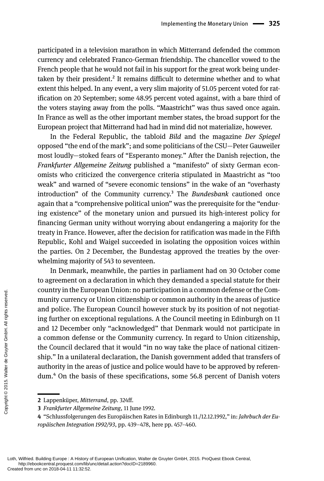participated in a television marathon in which Mitterrand defended the common currency and celebrated Franco-German friendship. The chancellor vowed to the French people that he would not fail in his support for the great work being undertaken by their president.<sup>2</sup> It remains difficult to determine whether and to what extent this helped. In any event, a very slim majority of 51.05 percent voted for ratification on 20 September; some 48.95 percent voted against, with a bare third of the voters staying away from the polls. "Maastricht" was thus saved once again. In France as well as the other important member states, the broad support for the European project that Mitterrand had had in mind did not materialize, however.

In the Federal Republic, the tabloid *Bild* and the magazine *Der Spiegel* opposed "the end of the mark"; and some politicians of the CSU—Peter Gauweiler most loudly—stoked fears of "Esperanto money." After the Danish rejection, the *Frankfurter Allgemeine Zeitung* published a "manifesto" of sixty German economists who criticized the convergence criteria stipulated in Maastricht as "too weak" and warned of "severe economic tensions" in the wake of an "overhasty introduction" of the Community currency.3 The *Bundesbank* cautioned once again that a "comprehensive political union" was the prerequisite for the "enduring existence" of the monetary union and pursued its high-interest policy for financing German unity without worrying about endangering a majority for the treaty in France. However, after the decision for ratification was made in the Fifth Republic, Kohl and Waigel succeeded in isolating the opposition voices within the parties. On 2 December, the Bundestag approved the treaties by the overwhelming majority of 543 to seventeen.

In Denmark, meanwhile, the parties in parliament had on 30 October come to agreement on a declaration in which they demanded a special statute for their country in the European Union: no participation in a common defense or the Community currency or Union citizenship or common authority in the areas of justice and police. The European Council however stuck by its position of not negotiating further on exceptional regulations. A the Council meeting in Edinburgh on 11 and 12 December only "acknowledged" that Denmark would not participate in a common defense or the Community currency. In regard to Union citizenship, the Council declared that it would "in no way take the place of national citizenship." In a unilateral declaration, the Danish government added that transfers of authority in the areas of justice and police would have to be approved by referendum.4 On the basis of these specifications, some 56.8 percent of Danish voters Country in the Europa<br>
munity currency community currency community currency community currency<br>
and police. The E<br>
ing further on excommon defenses<br>
the Council decla<br>
ship." In a unilate<br>
authority in the and dum.<sup>4</sup> On

**<sup>2</sup>** Lappenküper, *Mitterrand*, pp. 324ff.

**<sup>3</sup>** *Frankfurter Allgemeine Zeitung*, 11 June 1992.

**<sup>4</sup>** "Schlussfolgerungen des Europäischen Rates in Edinburgh 11./12.12.1992," in: *Jahrbuch der Europäischen Integration 1992/93*, pp. 439–478, here pp. 457–460.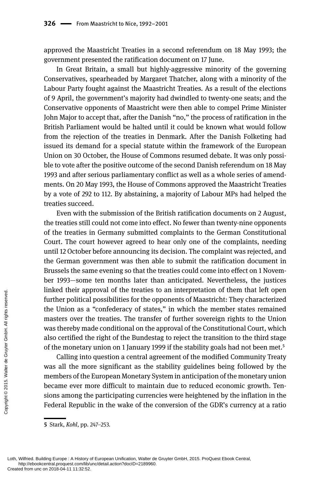approved the Maastricht Treaties in a second referendum on 18 May 1993; the government presented the ratification document on 17 June.

In Great Britain, a small but highly-aggressive minority of the governing Conservatives, spearheaded by Margaret Thatcher, along with a minority of the Labour Party fought against the Maastricht Treaties. As a result of the elections of 9 April, the government's majority had dwindled to twenty-one seats; and the Conservative opponents of Maastricht were then able to compel Prime Minister John Major to accept that, after the Danish "no," the process of ratification in the British Parliament would be halted until it could be known what would follow from the rejection of the treaties in Denmark. After the Danish Folketing had issued its demand for a special statute within the framework of the European Union on 30 October, the House of Commons resumed debate. It was only possible to vote after the positive outcome of the second Danish referendum on 18 May 1993 and after serious parliamentary conflict as well as a whole series of amendments. On 20 May 1993, the House of Commons approved the Maastricht Treaties by a vote of 292 to 112. By abstaining, a majority of Labour MPs had helped the treaties succeed.

Even with the submission of the British ratification documents on 2 August, the treaties still could not come into effect. No fewer than twenty-nine opponents of the treaties in Germany submitted complaints to the German Constitutional Court. The court however agreed to hear only one of the complaints, needing until 12 October before announcing its decision. The complaint was rejected, and the German government was then able to submit the ratification document in Brussels the same evening so that the treaties could come into effect on 1 November 1993—some ten months later than anticipated. Nevertheless, the justices linked their approval of the treaties to an interpretation of them that left open further political possibilities for the opponents of Maastricht: They characterized the Union as a "confederacy of states," in which the member states remained masters over the treaties. The transfer of further sovereign rights to the Union was thereby made conditional on the approval of the Constitutional Court, which also certified the right of the Bundestag to reject the transition to the third stage of the monetary union on 1 January 1999 if the stability goals had not been met.<sup>5</sup> Exercise<br>
Finited the Union as a<br>
masters over the<br>
was thereby ma<br>
also certified the<br>
of the monetary<br>
Calling into<br>
was all the mo<br>
members of the<br>
became ever m<br>
sions among the<br>
Federal Republi<br>
The Federal Republi<br>
T

Calling into question a central agreement of the modified Community Treaty was all the more significant as the stability guidelines being followed by the members of the European Monetary System in anticipation of the monetary union became ever more difficult to maintain due to reduced economic growth. Tensions among the participating currencies were heightened by the inflation in the Federal Republic in the wake of the conversion of the GDR's currency at a ratio

**<sup>5</sup>** Stark, *Kohl*, pp. 247–253.

Loth, Wilfried. Building Europe : A History of European Unification, Walter de Gruyter GmbH, 2015. ProQuest Ebook Central, http://ebookcentral.proquest.com/lib/unc/detail.action?docID=2189960.<br>Created from unc on 2018-04-11 11:32:52.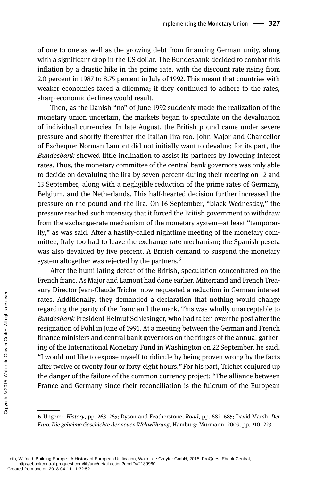of one to one as well as the growing debt from financing German unity, along with a significant drop in the US dollar. The Bundesbank decided to combat this inflation by a drastic hike in the prime rate, with the discount rate rising from 2.0 percent in 1987 to 8.75 percent in July of 1992. This meant that countries with weaker economies faced a dilemma; if they continued to adhere to the rates, sharp economic declines would result.

Then, as the Danish "no" of June 1992 suddenly made the realization of the monetary union uncertain, the markets began to speculate on the devaluation of individual currencies. In late August, the British pound came under severe pressure and shortly thereafter the Italian lira too. John Major and Chancellor of Exchequer Norman Lamont did not initially want to devalue; for its part, the *Bundesbank* showed little inclination to assist its partners by lowering interest rates. Thus, the monetary committee of the central bank governors was only able to decide on devaluing the lira by seven percent during their meeting on 12 and 13 September, along with a negligible reduction of the prime rates of Germany, Belgium, and the Netherlands. This half-hearted decision further increased the pressure on the pound and the lira. On 16 September, "black Wednesday," the pressure reached such intensity that it forced the British government to withdraw from the exchange-rate mechanism of the monetary system—at least "temporarily," as was said. After a hastily-called nighttime meeting of the monetary committee, Italy too had to leave the exchange-rate mechanism; the Spanish peseta was also devalued by five percent. A British demand to suspend the monetary system altogether was rejected by the partners.<sup>6</sup>

After the humiliating defeat of the British, speculation concentrated on the French franc. As Major and Lamont had done earlier, Mitterrand and French Treasury Director Jean-Claude Trichet now requested a reduction in German interest rates. Additionally, they demanded a declaration that nothing would change regarding the parity of the franc and the mark. This was wholly unacceptable to *Bundesbank* President Helmut Schlesinger, who had taken over the post after the resignation of Pöhl in June of 1991. At a meeting between the German and French finance ministers and central bank governors on the fringes of the annual gathering of the International Monetary Fund in Washington on 22 September, he said, "I would not like to expose myself to ridicule by being proven wrong by the facts after twelve or twenty-four or forty-eight hours."For his part, Trichet conjured up the danger of the failure of the common currency project: "The alliance between France and Germany since their reconciliation is the fulcrum of the European Examples and Germ<br>
From Examples of Payarding the part<br>
From Bundesbank Presi<br>
resignation of Pöl<br>
finance ministers<br>
ing of the Internal<br>
"I would not like t<br>
after twelve or twe<br>
the danger of the<br>
France and Germ<br>
επίσ

**<sup>6</sup>** Ungerer, *History*, pp. 263–265; Dyson and Featherstone, *Road*, pp. 682–685; David Marsh, *Der Euro. Die geheime Geschichte der neuen Weltwährung*, Hamburg: Murmann, 2009, pp. 210–223.

Loth, Wilfried. Building Europe : A History of European Unification, Walter de Gruyter GmbH, 2015. ProQuest Ebook Central, http://ebookcentral.proquest.com/lib/unc/detail.action?docID=2189960.<br>Created from unc on 2018-04-11 11:32:52.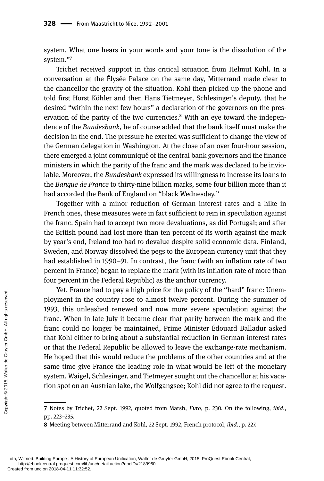system. What one hears in your words and your tone is the dissolution of the system."7

Trichet received support in this critical situation from Helmut Kohl. In a conversation at the Élysée Palace on the same day, Mitterrand made clear to the chancellor the gravity of the situation. Kohl then picked up the phone and told first Horst Köhler and then Hans Tietmeyer, Schlesinger's deputy, that he desired "within the next few hours" a declaration of the governors on the preservation of the parity of the two currencies.<sup>8</sup> With an eye toward the independence of the *Bundesbank*, he of course added that the bank itself must make the decision in the end. The pressure he exerted was sufficient to change the view of the German delegation in Washington. At the close of an over four-hour session, there emerged a joint communiqué of the central bank governors and the finance ministers in which the parity of the franc and the mark was declared to be inviolable. Moreover, the *Bundesbank* expressed its willingness to increase its loans to the *Banque de France* to thirty-nine billion marks, some four billion more than it had accorded the Bank of England on "black Wednesday."

Together with a minor reduction of German interest rates and a hike in French ones, these measures were in fact sufficient to rein in speculation against the franc. Spain had to accept two more devaluations, as did Portugal; and after the British pound had lost more than ten percent of its worth against the mark by year's end, Ireland too had to devalue despite solid economic data. Finland, Sweden, and Norway dissolved the pegs to the European currency unit that they had established in 1990–91. In contrast, the franc (with an inflation rate of two percent in France) began to replace the mark (with its inflation rate of more than four percent in the Federal Republic) as the anchor currency.

Yet, France had to pay a high price for the policy of the "hard" franc: Unemployment in the country rose to almost twelve percent. During the summer of 1993, this unleashed renewed and now more severe speculation against the franc. When in late July it became clear that parity between the mark and the franc could no longer be maintained, Prime Minister Édouard Balladur asked that Kohl either to bring about a substantial reduction in German interest rates or that the Federal Republic be allowed to leave the exchange-rate mechanism. He hoped that this would reduce the problems of the other countries and at the same time give France the leading role in what would be left of the monetary system. Waigel, Schlesinger, and Tietmeyer sought out the chancellor at his vacation spot on an Austrian lake, the Wolfgangsee; Kohl did not agree to the request. Fett, France<br>
ployment in the<br>
1993, this unle<br>
franc. When in<br>
franc could no<br>
that Kohl either<br>
or that the Fede<br>
He hoped that t<br>
same time give<br>
system. Waigel,<br>
tion spot on an .<br>  $\frac{100}{100}$ <br>  $\frac{25}{100}$ <br>  $\frac{25}{$ 

**<sup>7</sup>** Notes by Trichet, 22 Sept. 1992, quoted from Marsh, *Euro*, p. 230. On the following, *ibid*., pp. 223–235.

**<sup>8</sup>** Meeting between Mitterrand and Kohl, 22 Sept. 1992, French protocol, *ibid*., p. 227.

Loth, Wilfried. Building Europe : A History of European Unification, Walter de Gruyter GmbH, 2015. ProQuest Ebook Central, http://ebookcentral.proquest.com/lib/unc/detail.action?docID=2189960.<br>Created from unc on 2018-04-11 11:32:52.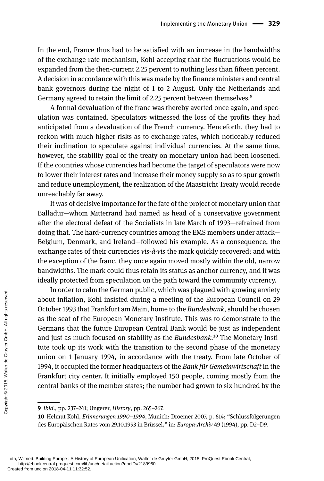In the end, France thus had to be satisfied with an increase in the bandwidths of the exchange-rate mechanism, Kohl accepting that the fluctuations would be expanded from the then-current 2.25 percent to nothing less than fifteen percent. A decision in accordance with this was made by the finance ministers and central bank governors during the night of 1 to 2 August. Only the Netherlands and Germany agreed to retain the limit of 2.25 percent between themselves.<sup>9</sup>

A formal devaluation of the franc was thereby averted once again, and speculation was contained. Speculators witnessed the loss of the profits they had anticipated from a devaluation of the French currency. Henceforth, they had to reckon with much higher risks as to exchange rates, which noticeably reduced their inclination to speculate against individual currencies. At the same time, however, the stability goal of the treaty on monetary union had been loosened. If the countries whose currencies had become the target of speculators were now to lower their interest rates and increase their money supply so as to spur growth and reduce unemployment, the realization of the Maastricht Treaty would recede unreachably far away.

It was of decisive importance for the fate of the project of monetary union that Balladur—whom Mitterrand had named as head of a conservative government after the electoral defeat of the Socialists in late March of 1993—refrained from doing that. The hard-currency countries among the EMS members under attack— Belgium, Denmark, and Ireland—followed his example. As a consequence, the exchange rates of their currencies *vis-à-vis* the mark quickly recovered; and with the exception of the franc, they once again moved mostly within the old, narrow bandwidths. The mark could thus retain its status as anchor currency, and it was ideally protected from speculation on the path toward the community currency.

In order to calm the German public, which was plagued with growing anxiety about inflation, Kohl insisted during a meeting of the European Council on 29 October 1993 that Frankfurt am Main, home to the *Bundesbank*, should be chosen as the seat of the European Monetary Institute. This was to demonstrate to the Germans that the future European Central Bank would be just as independent and just as much focused on stability as the *Bundesbank*.10 The Monetary Institute took up its work with the transition to the second phase of the monetary union on 1 January 1994, in accordance with the treaty. From late October of 1994, it occupied the former headquarters of the *Bank für Gemeinwirtschaft* in the Frankfurt city center. It initially employed 150 people, coming mostly from the central banks of the member states; the number had grown to six hundred by the Created from unc on 2018-04-11 11:32:52.<br>Created from unc on 2018-04-11 11:32:52.<br>Created from unc on 2018-04-11 11:32:52.<br>Created from unc on 2018-04-11 11:32:52.<br>Created from unc on 2018-04-11 11:32:52.<br>Created from unc

**<sup>9</sup>** *Ibid*., pp. 237–241; Ungerer, *History*, pp. 265–267.

**<sup>10</sup>** Helmut Kohl, *Erinnerungen 1990–1994*, Munich: Droemer 2007, p. 614; "Schlussfolgerungen des Europäischen Rates vom 29.10.1993 in Brüssel," in: *Europa-Archiv* 49 (1994), pp. D2–D9.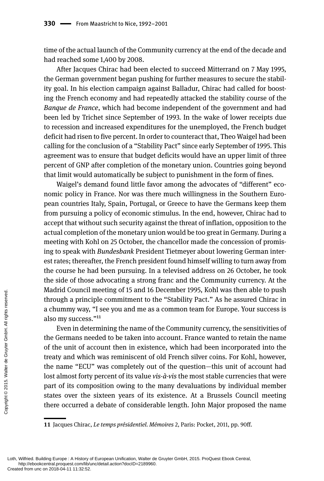time of the actual launch of the Community currency at the end of the decade and had reached some 1,400 by 2008.

After Jacques Chirac had been elected to succeed Mitterrand on 7 May 1995, the German government began pushing for further measures to secure the stability goal. In his election campaign against Balladur, Chirac had called for boosting the French economy and had repeatedly attacked the stability course of the *Banque de France*, which had become independent of the government and had been led by Trichet since September of 1993. In the wake of lower receipts due to recession and increased expenditures for the unemployed, the French budget deficit had risen to five percent. In order to counteract that, Theo Waigel had been calling for the conclusion of a "Stability Pact" since early September of 1995. This agreement was to ensure that budget deficits would have an upper limit of three percent of GNP after completion of the monetary union. Countries going beyond that limit would automatically be subject to punishment in the form of fines.

Waigel's demand found little favor among the advocates of "different" economic policy in France. Nor was there much willingness in the Southern European countries Italy, Spain, Portugal, or Greece to have the Germans keep them from pursuing a policy of economic stimulus. In the end, however, Chirac had to accept that without such security against the threat of inflation, opposition to the actual completion of the monetary union would be too great in Germany. During a meeting with Kohl on 25 October, the chancellor made the concession of promising to speak with *Bundesbank* President Tietmeyer about lowering German interest rates; thereafter, the French president found himself willing to turn away from the course he had been pursuing. In a televised address on 26 October, he took the side of those advocating a strong franc and the Community currency. At the Madrid Council meeting of 15 and 16 December 1995, Kohl was then able to push through a principle commitment to the "Stability Pact." As he assured Chirac in a chummy way, "I see you and me as a common team for Europe. Your success is also my success."<sup>11</sup>

Even in determining the name of the Community currency, the sensitivities of the Germans needed to be taken into account. France wanted to retain the name of the unit of account then in existence, which had been incorporated into the treaty and which was reminiscent of old French silver coins. For Kohl, however, the name "ECU" was completely out of the question—this unit of account had lost almost forty percent of its value *vis-à-vis* the most stable currencies that were part of its composition owing to the many devaluations by individual member states over the sixteen years of its existence. At a Brussels Council meeting there occurred a debate of considerable length. John Major proposed the name Example a princ a chummy way,<br>also my success<br>Even in determans ne<br>the Germans ne<br>of the unit of a<br>treaty and whice<br>the name "ECU<br>lost almost forty<br>gas almost forty<br>sizes.<br>Exates over the<br>there occurred.<br>There occurred.<br>Th

**<sup>11</sup>** Jacques Chirac, *Le temps présidentiel. Mémoires* 2, Paris: Pocket, 2011, pp. 90ff.

Loth, Wilfried. Building Europe : A History of European Unification, Walter de Gruyter GmbH, 2015. ProQuest Ebook Central, http://ebookcentral.proquest.com/lib/unc/detail.action?docID=2189960.<br>Created from unc on 2018-04-11 11:32:52.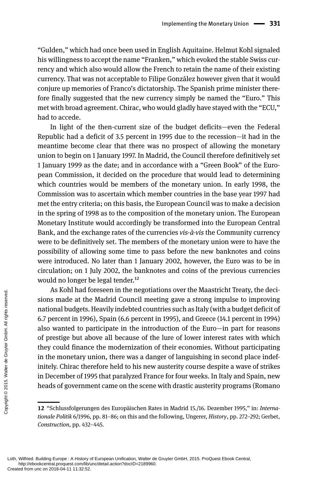"Gulden," which had once been used in English Aquitaine. Helmut Kohl signaled his willingness to accept the name "Franken," which evoked the stable Swiss currency and which also would allow the French to retain the name of their existing currency. That was not acceptable to Filipe González however given that it would conjure up memories of Franco's dictatorship. The Spanish prime minister therefore finally suggested that the new currency simply be named the "Euro." This met with broad agreement. Chirac, who would gladly have stayed with the "ECU," had to accede.

In light of the then-current size of the budget deficits—even the Federal Republic had a deficit of 3.5 percent in 1995 due to the recession—it had in the meantime become clear that there was no prospect of allowing the monetary union to begin on 1 January 1997. In Madrid, the Council therefore definitively set 1 January 1999 as the date; and in accordance with a "Green Book" of the European Commission, it decided on the procedure that would lead to determining which countries would be members of the monetary union. In early 1998, the Commission was to ascertain which member countries in the base year 1997 had met the entry criteria; on this basis, the European Council was to make a decision in the spring of 1998 as to the composition of the monetary union. The European Monetary Institute would accordingly be transformed into the European Central Bank, and the exchange rates of the currencies *vis-à-vis* the Community currency were to be definitively set. The members of the monetary union were to have the possibility of allowing some time to pass before the new banknotes and coins were introduced. No later than 1 January 2002, however, the Euro was to be in circulation; on 1 July 2002, the banknotes and coins of the previous currencies would no longer be legal tender.<sup>12</sup>

As Kohl had foreseen in the negotiations over the Maastricht Treaty, the decisions made at the Madrid Council meeting gave a strong impulse to improving national budgets. Heavily indebted countries such as Italy (with a budget deficit of 6.7 percent in 1996), Spain (6.6 percent in 1995), and Greece (14.1 percent in 1994) also wanted to participate in the introduction of the Euro—in part for reasons of prestige but above all because of the lure of lower interest rates with which they could finance the modernization of their economies. Without participating in the monetary union, there was a danger of languishing in second place indefinitely. Chirac therefore held to his new austerity course despite a wave of strikes in December of 1995 that paralyzed France for four weeks. In Italy and Spain, new heads of government came on the scene with drastic austerity programs (Romano The state of the mational budgets.<br>
Solons made at the national budgets.<br>
6.7 percent in 1996<br>
also wanted to pa<br>
of prestige but ab<br>
they could financ<br>
in the monetary u<br>
initely. Chirac the<br>
in December of 19<br>
heads of g

**<sup>12</sup>** "Schlussfolgerungen des Europäischen Rates in Madrid 15./16. Dezember 1995," in: *Internationale Politik* 6/1996, pp. 81–86; on this and the following, Ungerer, *History*, pp. 272–292; Gerbet, *Construction*, pp. 432–445.

Loth, Wilfried. Building Europe : A History of European Unification, Walter de Gruyter GmbH, 2015. ProQuest Ebook Central, http://ebookcentral.proquest.com/lib/unc/detail.action?docID=2189960.<br>Created from unc on 2018-04-11 11:32:52.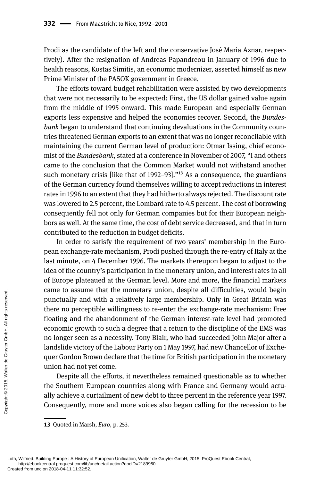Prodi as the candidate of the left and the conservative José Maria Aznar, respectively). After the resignation of Andreas Papandreou in January of 1996 due to health reasons, Kostas Simitis, an economic modernizer, asserted himself as new Prime Minister of the PASOK government in Greece.

The efforts toward budget rehabilitation were assisted by two developments that were not necessarily to be expected: First, the US dollar gained value again from the middle of 1995 onward. This made European and especially German exports less expensive and helped the economies recover. Second, the *Bundesbank* began to understand that continuing devaluations in the Community countries threatened German exports to an extent that was no longer reconcilable with maintaining the current German level of production: Otmar Issing, chief economist of the *Bundesbank*, stated at a conference in November of 2007, "I and others came to the conclusion that the Common Market would not withstand another such monetary crisis [like that of 1992–93]."<sup>13</sup> As a consequence, the guardians of the German currency found themselves willing to accept reductions in interest rates in 1996 to an extent that they had hitherto always rejected. The discount rate was lowered to 2.5 percent, the Lombard rate to 4.5 percent. The cost of borrowing consequently fell not only for German companies but for their European neighbors as well. At the same time, the cost of debt service decreased, and that in turn contributed to the reduction in budget deficits.

In order to satisfy the requirement of two years' membership in the European exchange-rate mechanism, Prodi pushed through the re-entry of Italy at the last minute, on 4 December 1996. The markets thereupon began to adjust to the idea of the country's participation in the monetary union, and interest rates in all of Europe plateaued at the German level. More and more, the financial markets came to assume that the monetary union, despite all difficulties, would begin punctually and with a relatively large membership. Only in Great Britain was there no perceptible willingness to re-enter the exchange-rate mechanism: Free floating and the abandonment of the German interest-rate level had promoted economic growth to such a degree that a return to the discipline of the EMS was no longer seen as a necessity. Tony Blair, who had succeeded John Major after a landslide victory of the Labour Party on 1 May 1997, had new Chancellor of Exchequer Gordon Brown declare that the time for British participation in the monetary union had not yet come. Example the distantion of the condition of the condition of the condition of the condition of the Condition of the Southern Et ally achieve a created from uncomplex complibition of the Southern all rights reserved. The Con

Despite all the efforts, it nevertheless remained questionable as to whether the Southern European countries along with France and Germany would actually achieve a curtailment of new debt to three percent in the reference year 1997. Consequently, more and more voices also began calling for the recession to be

**<sup>13</sup>** Quoted in Marsh, *Euro*, p. 253.

Loth, Wilfried. Building Europe : A History of European Unification, Walter de Gruyter GmbH, 2015. ProQuest Ebook Central, http://ebookcentral.proquest.com/lib/unc/detail.action?docID=2189960.<br>Created from unc on 2018-04-11 11:32:52.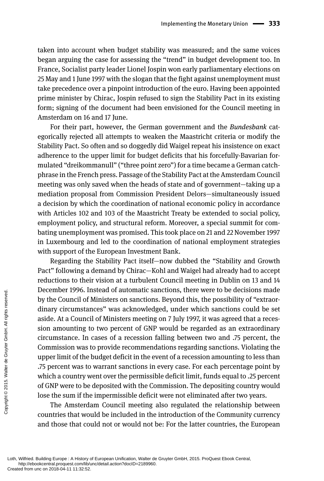taken into account when budget stability was measured; and the same voices began arguing the case for assessing the "trend" in budget development too. In France, Socialist party leader Lionel Jospin won early parliamentary elections on 25 May and 1 June 1997 with the slogan that the fight against unemployment must take precedence over a pinpoint introduction of the euro. Having been appointed prime minister by Chirac, Jospin refused to sign the Stability Pact in its existing form; signing of the document had been envisioned for the Council meeting in Amsterdam on 16 and 17 June.

For their part, however, the German government and the *Bundesbank* categorically rejected all attempts to weaken the Maastricht criteria or modify the Stability Pact. So often and so doggedly did Waigel repeat his insistence on exact adherence to the upper limit for budget deficits that his forcefully-Bavarian formulated "dreikommanull" ("three point zero") for a time became a German catchphrase in the French press. Passage of the Stability Pact at the Amsterdam Council meeting was only saved when the heads of state and of government—taking up a mediation proposal from Commission President Delors—simultaneously issued a decision by which the coordination of national economic policy in accordance with Articles 102 and 103 of the Maastricht Treaty be extended to social policy, employment policy, and structural reform. Moreover, a special summit for combating unemployment was promised. This took place on 21 and 22 November 1997 in Luxembourg and led to the coordination of national employment strategies with support of the European Investment Bank.

Regarding the Stability Pact itself—now dubbed the "Stability and Growth Pact" following a demand by Chirac—Kohl and Waigel had already had to accept reductions to their vision at a turbulent Council meeting in Dublin on 13 and 14 December 1996. Instead of automatic sanctions, there were to be decisions made by the Council of Ministers on sanctions. Beyond this, the possibility of "extraordinary circumstances" was acknowledged, under which sanctions could be set aside. At a Council of Ministers meeting on 7 July 1997, it was agreed that a recession amounting to two percent of GNP would be regarded as an extraordinary circumstance. In cases of a recession falling between two and .75 percent, the Commission was to provide recommendations regarding sanctions. Violating the upper limit of the budget deficit in the event of a recession amounting to less than .75 percent was to warrant sanctions in every case. For each percentage point by which a country went over the permissible deficit limit, funds equal to .25 percent of GNP were to be deposited with the Commission. The depositing country would lose the sum if the impermissible deficit were not eliminated after two years. December 1996. In<br>the Council of dinary circumstar<br>aside. At a Counci<br>sion amounting t<br>circumstance. In<br>commission was t<br>upper limit of the<br> $.75$  percent was to<br>which a country way<br>of GNP were to be<br>lose the sum if the<br> $\$ 

The Amsterdam Council meeting also regulated the relationship between countries that would be included in the introduction of the Community currency and those that could not or would not be: For the latter countries, the European

Loth, Wilfried. Building Europe : A History of European Unification, Walter de Gruyter GmbH, 2015. ProQuest Ebook Central, http://ebookcentral.proquest.com/lib/unc/detail.action?docID=2189960.<br>Created from unc on 2018-04-11 11:32:52.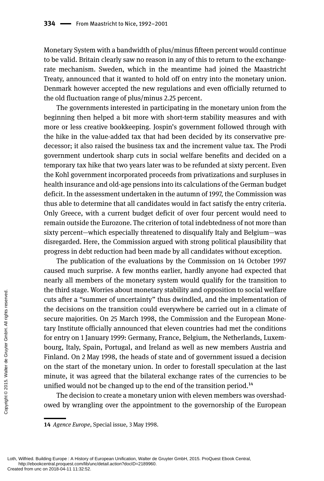Monetary System with a bandwidth of plus/minus fifteen percent would continue to be valid. Britain clearly saw no reason in any of this to return to the exchangerate mechanism. Sweden, which in the meantime had joined the Maastricht Treaty, announced that it wanted to hold off on entry into the monetary union. Denmark however accepted the new regulations and even officially returned to the old fluctuation range of plus/minus 2.25 percent.

The governments interested in participating in the monetary union from the beginning then helped a bit more with short-term stability measures and with more or less creative bookkeeping. Jospin's government followed through with the hike in the value-added tax that had been decided by its conservative predecessor; it also raised the business tax and the increment value tax. The Prodi government undertook sharp cuts in social welfare benefits and decided on a temporary tax hike that two years later was to be refunded at sixty percent. Even the Kohl government incorporated proceeds from privatizations and surpluses in health insurance and old-age pensions into its calculations of the German budget deficit. In the assessment undertaken in the autumn of 1997, the Commission was thus able to determine that all candidates would in fact satisfy the entry criteria. Only Greece, with a current budget deficit of over four percent would need to remain outside the Eurozone. The criterion of total indebtedness of not more than sixty percent—which especially threatened to disqualify Italy and Belgium—was disregarded. Here, the Commission argued with strong political plausibility that progress in debt reduction had been made by all candidates without exception.

The publication of the evaluations by the Commission on 14 October 1997 caused much surprise. A few months earlier, hardly anyone had expected that nearly all members of the monetary system would qualify for the transition to the third stage. Worries about monetary stability and opposition to social welfare cuts after a "summer of uncertainty" thus dwindled, and the implementation of the decisions on the transition could everywhere be carried out in a climate of secure majorities. On 25 March 1998, the Commission and the European Monetary Institute officially announced that eleven countries had met the conditions for entry on 1 January 1999: Germany, France, Belgium, the Netherlands, Luxembourg, Italy, Spain, Portugal, and Ireland as well as new members Austria and Finland. On 2 May 1998, the heads of state and of government issued a decision on the start of the monetary union. In order to forestall speculation at the last minute, it was agreed that the bilateral exchange rates of the currencies to be unified would not be changed up to the end of the transition period.<sup>14</sup> The decisions of the decisions of secure majorities<br>  $\frac{1}{2}$  and the decisions of secure majorities<br>
tary Institute of for entry on 1 Ja<br>
bourg, Italy, Sp<br>
Finland. On 2 M<br>
on the start of the minute, it was<br>
unified wo

The decision to create a monetary union with eleven members was overshadowed by wrangling over the appointment to the governorship of the European

**<sup>14</sup>** *Agence Europe*, Special issue, 3 May 1998.

Loth, Wilfried. Building Europe : A History of European Unification, Walter de Gruyter GmbH, 2015. ProQuest Ebook Central, http://ebookcentral.proquest.com/lib/unc/detail.action?docID=2189960.<br>Created from unc on 2018-04-11 11:32:52.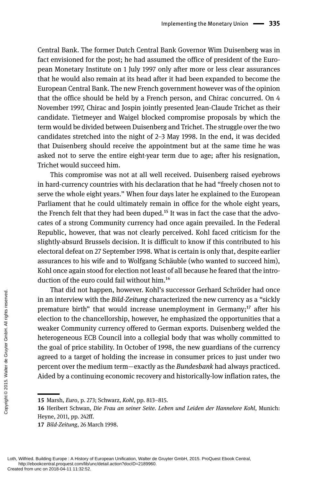Central Bank. The former Dutch Central Bank Governor Wim Duisenberg was in fact envisioned for the post; he had assumed the office of president of the European Monetary Institute on 1 July 1997 only after more or less clear assurances that he would also remain at its head after it had been expanded to become the European Central Bank. The new French government however was of the opinion that the office should be held by a French person, and Chirac concurred. On 4 November 1997, Chirac and Jospin jointly presented Jean-Claude Trichet as their candidate. Tietmeyer and Waigel blocked compromise proposals by which the term would be divided between Duisenberg and Trichet. The struggle over the two candidates stretched into the night of 2–3 May 1998. In the end, it was decided that Duisenberg should receive the appointment but at the same time he was asked not to serve the entire eight-year term due to age; after his resignation, Trichet would succeed him.

This compromise was not at all well received. Duisenberg raised eyebrows in hard-currency countries with his declaration that he had "freely chosen not to serve the whole eight years." When four days later he explained to the European Parliament that he could ultimately remain in office for the whole eight years, the French felt that they had been duped.<sup>15</sup> It was in fact the case that the advocates of a strong Community currency had once again prevailed. In the Federal Republic, however, that was not clearly perceived. Kohl faced criticism for the slightly-absurd Brussels decision. It is difficult to know if this contributed to his electoral defeat on 27 September 1998. What is certain is only that, despite earlier assurances to his wife and to Wolfgang Schäuble (who wanted to succeed him), Kohl once again stood for election not least of all because he feared that the introduction of the euro could fail without him.<sup>16</sup>

That did not happen, however. Kohl's successor Gerhard Schröder had once in an interview with the *Bild-Zeitung* characterized the new currency as a "sickly premature birth" that would increase unemployment in Germany; $^{17}$  after his election to the chancellorship, however, he emphasized the opportunities that a weaker Community currency offered to German exports. Duisenberg welded the heterogeneous ECB Council into a collegial body that was wholly committed to the goal of price stability. In October of 1998, the new guardians of the currency agreed to a target of holding the increase in consumer prices to just under two percent over the medium term—exactly as the *Bundesbank* had always practiced. Aided by a continuing economic recovery and historically-low inflation rates, the Final did Hot I<br>
in an interview wi<br>
premature birth"<br>
election to the cha<br>
weaker Communi<br>
heterogeneous EC<br>
the goal of price s<br>
agreed to a target<br>
percent over the n<br>
Aided by a continue<br>
served.<br>  $\frac{15}{200}$ <br>  $\frac{15$ 

**<sup>15</sup>** Marsh, *Euro*, p. 273; Schwarz, *Kohl*, pp. 813–815.

**<sup>16</sup>** Heribert Schwan, *Die Frau an seiner Seite. Leben und Leiden der Hannelore Kohl*, Munich: Heyne, 2011, pp. 242ff.

**<sup>17</sup>** *Bild-Zeitung*, 26 March 1998.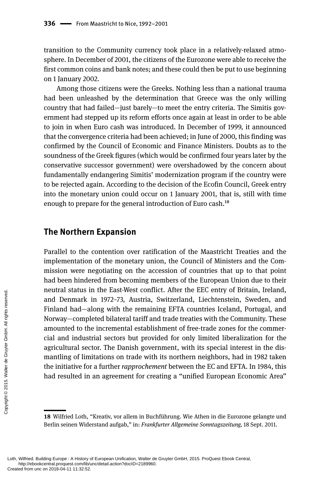transition to the Community currency took place in a relatively-relaxed atmosphere. In December of 2001, the citizens of the Eurozone were able to receive the first common coins and bank notes; and these could then be put to use beginning on 1 January 2002.

Among those citizens were the Greeks. Nothing less than a national trauma had been unleashed by the determination that Greece was the only willing country that had failed—just barely—to meet the entry criteria. The Simitis government had stepped up its reform efforts once again at least in order to be able to join in when Euro cash was introduced. In December of 1999, it announced that the convergence criteria had been achieved; in June of 2000, this finding was confirmed by the Council of Economic and Finance Ministers. Doubts as to the soundness of the Greek figures (which would be confirmed four years later by the conservative successor government) were overshadowed by the concern about fundamentally endangering Simitis' modernization program if the country were to be rejected again. According to the decision of the Ecofin Council, Greek entry into the monetary union could occur on 1 January 2001, that is, still with time enough to prepare for the general introduction of Euro cash.<sup>18</sup>

### **The Northern Expansion**

Parallel to the contention over ratification of the Maastricht Treaties and the implementation of the monetary union, the Council of Ministers and the Commission were negotiating on the accession of countries that up to that point had been hindered from becoming members of the European Union due to their neutral status in the East-West conflict. After the EEC entry of Britain, Ireland, and Denmark in 1972–73, Austria, Switzerland, Liechtenstein, Sweden, and Finland had—along with the remaining EFTA countries Iceland, Portugal, and Norway—completed bilateral tariff and trade treaties with the Community. These amounted to the incremental establishment of free-trade zones for the commercial and industrial sectors but provided for only limited liberalization for the agricultural sector. The Danish government, with its special interest in the dismantling of limitations on trade with its northern neighbors, had in 1982 taken the initiative for a further *rapprochement* between the EC and EFTA. In 1984, this had resulted in an agreement for creating a "unified European Economic Area" The times are the Finland had—a<br>
and Denmark<br>
Finland had—a<br>
Norway—compl<br>
amounted to th<br>
cial and indust<br>
agricultural sec<br>
mantling of lim<br>
the initiative for<br>
the initiative for<br>
and resulted in<br>
sexested in<br>
a Wilfrie

**<sup>18</sup>** Wilfried Loth, "Kreativ, vor allem in Buchführung. Wie Athen in die Eurozone gelangte und Berlin seinen Widerstand aufgab," in: *Frankfurter Allgemeine Sonntagszeitung,* 18 Sept. 2011.

Loth, Wilfried. Building Europe : A History of European Unification, Walter de Gruyter GmbH, 2015. ProQuest Ebook Central, http://ebookcentral.proquest.com/lib/unc/detail.action?docID=2189960.<br>Created from unc on 2018-04-11 11:32:52.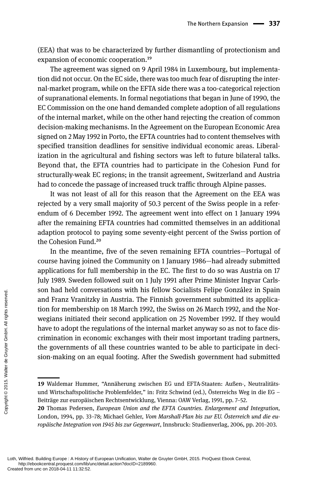(EEA) that was to be characterized by further dismantling of protectionism and expansion of economic cooperation.<sup>19</sup>

The agreement was signed on 9 April 1984 in Luxembourg, but implementation did not occur. On the EC side, there was too much fear of disrupting the internal-market program, while on the EFTA side there was a too-categorical rejection of supranational elements. In formal negotiations that began in June of 1990, the EC Commission on the one hand demanded complete adoption of all regulations of the internal market, while on the other hand rejecting the creation of common decision-making mechanisms. In the Agreement on the European Economic Area signed on 2 May 1992 in Porto, the EFTA countries had to content themselves with specified transition deadlines for sensitive individual economic areas. Liberalization in the agricultural and fishing sectors was left to future bilateral talks. Beyond that, the EFTA countries had to participate in the Cohesion Fund for structurally-weak EC regions; in the transit agreement, Switzerland and Austria had to concede the passage of increased truck traffic through Alpine passes.

It was not least of all for this reason that the Agreement on the EEA was rejected by a very small majority of 50.3 percent of the Swiss people in a referendum of 6 December 1992. The agreement went into effect on 1 January 1994 after the remaining EFTA countries had committed themselves in an additional adaption protocol to paying some seventy-eight percent of the Swiss portion of the Cohesion Fund.20

In the meantime, five of the seven remaining EFTA countries—Portugal of course having joined the Community on 1 January 1986—had already submitted applications for full membership in the EC. The first to do so was Austria on 17 July 1989. Sweden followed suit on 1 July 1991 after Prime Minister Ingvar Carlsson had held conversations with his fellow Socialists Felipe González in Spain and Franz Vranitzky in Austria. The Finnish government submitted its application for membership on 18 March 1992, the Swiss on 26 March 1992, and the Norwegians initiated their second application on 25 November 1992. If they would have to adopt the regulations of the internal market anyway so as not to face discrimination in economic exchanges with their most important trading partners, the governments of all these countries wanted to be able to participate in decision-making on an equal footing. After the Swedish government had submitted Soli Indu Held Coli<br>
and Franz Vranitz<br>
ion for members<br>
wegians initiated<br>
have to adopt the<br>
crimination in ecc<br>
the governments<br>
sion-making on a<br>
and Wirtschaftspolit<br> **19** Waldemar Humm<br>
und Wirtschaftspolit<br>
Beiträg

**<sup>19</sup>** Waldemar Hummer, "Annäherung zwischen EG und EFTA-Staaten: Außen-, Neutralitätsund Wirtschaftspolitische Problemfelder," in: Fritz Schwind (ed.), Österreichs Weg in die EG – Beiträge zur europäischen Rechtsentwicklung, Vienna: OAW Verlag, 1991, pp. 7–52.

**<sup>20</sup>** Thomas Pedersen, *European Union and the EFTA Countries. Enlargement and Integration*, London, 1994, pp. 33–78; Michael Gehler, *Vom Marshall-Plan bis zur EU. Österreich und die europäische Integration von 1945 bis zur Gegenwart*, Innsbruck: Studienverlag, 2006, pp. 201–203.

Loth, Wilfried. Building Europe : A History of European Unification, Walter de Gruyter GmbH, 2015. ProQuest Ebook Central, http://ebookcentral.proquest.com/lib/unc/detail.action?docID=2189960.<br>Created from unc on 2018-04-11 11:32:52.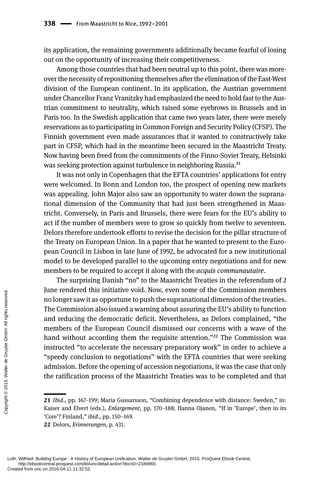its application, the remaining governments additionally became fearful of losing out on the opportunity of increasing their competitiveness.

Among those countries that had been neutral up to this point, there was moreover the necessity of repositioning themselves after the elimination of the East-West division of the European continent. In its application, the Austrian government under Chancellor Franz Vranitzky had emphasized the need to hold fast to the Austrian commitment to neutrality, which raised some eyebrows in Brussels and in Paris too. In the Swedish application that came two years later, there were merely reservations as to participating in Common Foreign and Security Policy (CFSP). The Finnish government even made assurances that it wanted to constructively take part in CFSP, which had in the meantime been secured in the Maastricht Treaty. Now having been freed from the commitments of the Finno-Soviet Treaty, Helsinki was seeking protection against turbulence in neighboring Russia.<sup>21</sup>

It was not only in Copenhagen that the EFTA countries' applications for entry were welcomed. In Bonn and London too, the prospect of opening new markets was appealing. John Major also saw an opportunity to water down the supranational dimension of the Community that had just been strengthened in Maastricht. Conversely, in Paris and Brussels, there were fears for the EU's ability to act if the number of members were to grow so quickly from twelve to seventeen. Delors therefore undertook efforts to revise the decision for the pillar structure of the Treaty on European Union. In a paper that he wanted to present to the European Council in Lisbon in late June of 1992, he advocated for a new institutional model to be developed parallel to the upcoming entry negotiations and for new members to be required to accept it along with the *acquis communautaire*.

The surprising Danish "no" to the Maastricht Treaties in the referendum of 2 June rendered this initiative void. Now, even some of the Commission members no longer saw it as opportune to push the supranational dimension of the treaties. The Commission also issued a warning about assuring the EU's ability to function and reducing the democratic deficit. Nevertheless, as Delors complained, "the members of the European Council dismissed our concerns with a wave of the hand without according them the requisite attention."<sup>22</sup> The Commission was instructed "to accelerate the necessary preparatory work" in order to achieve a "speedy conclusion to negotiations" with the EFTA countries that were seeking admission. Before the opening of accession negotiations, it was the case that only the ratification process of the Maastricht Treaties was to be completed and that From the state of the commission and reducing the members of the hand without a instructed "to a "speedy concluined" or "speedy concluined" or "speedy concluined" or "speedy concluined" or "speedy concluined"  $\frac{1}{2}$  ad

**<sup>21</sup>** *Ibid*., pp. 167–199; Maria Gussarsson, "Combining dependence with distance: Sweden," in: Kaiser and Elvert (eds.), *Enlargement*, pp. 170–188; Hanna Ojanen, "If in 'Europe', then in its 'Core'? Finland," *ibid*., pp. 150–169.

**<sup>22</sup>** Delors, *Erinnerungen*, p. 431.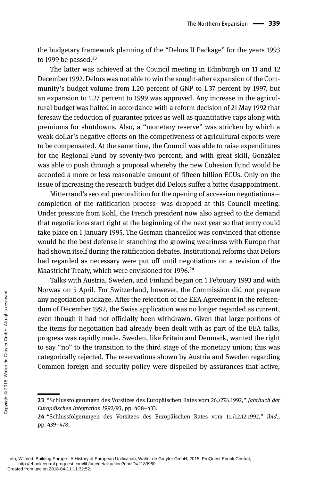the budgetary framework planning of the "Delors II Package" for the years 1993 to 1999 be passed. $23$ 

The latter was achieved at the Council meeting in Edinburgh on 11 and 12 December 1992. Delors was not able to win the sought-after expansion of the Community's budget volume from 1.20 percent of GNP to 1.37 percent by 1997, but an expansion to 1.27 percent to 1999 was approved. Any increase in the agricultural budget was halted in accordance with a reform decision of 21 May 1992 that foresaw the reduction of guarantee prices as well as quantitative caps along with premiums for shutdowns. Also, a "monetary reserve" was stricken by which a weak dollar's negative effects on the competiveness of agricultural exports were to be compensated. At the same time, the Council was able to raise expenditures for the Regional Fund by seventy-two percent; and with great skill, González was able to push through a proposal whereby the new Cohesion Fund would be accorded a more or less reasonable amount of fifteen billion ECUs. Only on the issue of increasing the research budget did Delors suffer a bitter disappointment.

Mitterrand's second precondition for the opening of accession negotiations completion of the ratification process—was dropped at this Council meeting. Under pressure from Kohl, the French president now also agreed to the demand that negotiations start right at the beginning of the next year so that entry could take place on 1 January 1995. The German chancellor was convinced that offense would be the best defense in stanching the growing weariness with Europe that had shown itself during the ratification debates. Institutional reforms that Delors had regarded as necessary were put off until negotiations on a revision of the Maastricht Treaty, which were envisioned for 1996.<sup>24</sup>

Talks with Austria, Sweden, and Finland began on 1 February 1993 and with Norway on 5 April. For Switzerland, however, the Commission did not prepare any negotiation package. After the rejection of the EEA Agreement in the referendum of December 1992, the Swiss application was no longer regarded as current, even though it had not officially been withdrawn. Given that large portions of the items for negotiation had already been dealt with as part of the EEA talks, progress was rapidly made. Sweden, like Britain and Denmark, wanted the right to say "no" to the transition to the third stage of the monetary union; this was categorically rejected. The reservations shown by Austria and Sweden regarding Common foreign and security policy were dispelled by assurances that active, Not way off 3 April<br>
any negotiation produces<br>
even though it has<br>
the items for negotiation<br>
progress was rapi<br>
to say "no" to the<br>
categorically rejec<br>
Common foreign<br>  $\frac{1}{2}$ <br>  $\frac{1}{2}$ <br>  $\frac{1}{2}$ <br>  $\frac{1}{2}$ <br>  $\frac{1}{2$ 

**<sup>23</sup>** "Schlussfolgerungen des Vorsitzes des Europäischen Rates vom 26./27.6.1992," *Jahrbuch der Europäischen Integration 1992/93*, pp. 408–433.

**<sup>24</sup>** "Schlussfolgerungen des Vorsitzes des Europäischen Rates vom 11./12.12.1992," *ibid*., pp. 439–478.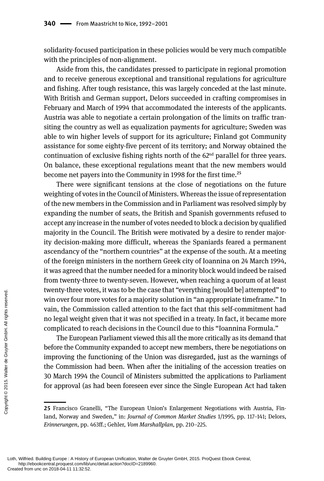solidarity-focused participation in these policies would be very much compatible with the principles of non-alignment.

Aside from this, the candidates pressed to participate in regional promotion and to receive generous exceptional and transitional regulations for agriculture and fishing. After tough resistance, this was largely conceded at the last minute. With British and German support, Delors succeeded in crafting compromises in February and March of 1994 that accommodated the interests of the applicants. Austria was able to negotiate a certain prolongation of the limits on traffic transiting the country as well as equalization payments for agriculture; Sweden was able to win higher levels of support for its agriculture; Finland got Community assistance for some eighty-five percent of its territory; and Norway obtained the continuation of exclusive fishing rights north of the  $62<sup>nd</sup>$  parallel for three years. On balance, these exceptional regulations meant that the new members would become net payers into the Community in 1998 for the first time.<sup>25</sup>

There were significant tensions at the close of negotiations on the future weighting of votes in the Council of Ministers. Whereas the issue of representation of the new members in the Commission and in Parliament was resolved simply by expanding the number of seats, the British and Spanish governments refused to accept any increase in the number of votes needed to block a decision by qualified majority in the Council. The British were motivated by a desire to render majority decision-making more difficult, whereas the Spaniards feared a permanent ascendancy of the "northern countries" at the expense of the south. At a meeting of the foreign ministers in the northern Greek city of Ioannina on 24 March 1994, it was agreed that the number needed for a minority block would indeed be raised from twenty-three to twenty-seven. However, when reaching a quorum of at least twenty-three votes, it was to be the case that "everything [would be] attempted" to win over four more votes for a majority solution in "an appropriate timeframe." In vain, the Commission called attention to the fact that this self-commitment had no legal weight given that it was not specified in a treaty. In fact, it became more complicated to reach decisions in the Council due to this "Ioannina Formula."

The European Parliament viewed this all the more critically as its demand that before the Community expanded to accept new members, there be negotiations on improving the functioning of the Union was disregarded, just as the warnings of the Commission had been. When after the initialing of the accession treaties on 30 March 1994 the Council of Ministers submitted the applications to Parliament for approval (as had been foreseen ever since the Single European Act had taken Example the Commission<br>  $\frac{1}{2}$  and  $\frac{1}{2}$  and  $\frac{1}{2}$  and  $\frac{1}{2}$  and  $\frac{1}{2}$  and  $\frac{1}{2}$  and  $\frac{1}{2}$  and  $\frac{1}{2}$  and  $\frac{1}{2}$  and  $\frac{1}{2}$  for approval (as<br>  $\frac{1}{2}$  and  $\frac{1}{2}$  and  $\frac{1}{2}$  and

**<sup>25</sup>** Francisco Granelli, "The European Union's Enlargement Negotiations with Austria, Finland, Norway and Sweden," in: *Journal of Common Market Studies* 1/1995, pp. 117–141; Delors, *Erinnerungen*, pp. 463ff.; Gehler, *Vom Marshallplan*, pp. 210–225.

Loth, Wilfried. Building Europe : A History of European Unification, Walter de Gruyter GmbH, 2015. ProQuest Ebook Central, http://ebookcentral.proquest.com/lib/unc/detail.action?docID=2189960.<br>Created from unc on 2018-04-11 11:32:52.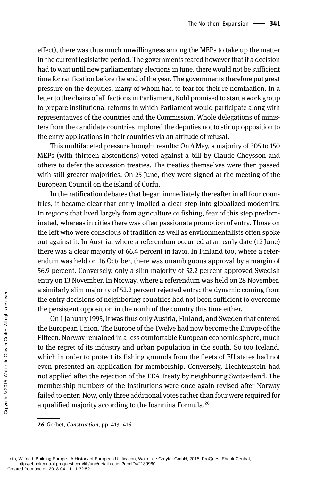effect), there was thus much unwillingness among the MEPs to take up the matter in the current legislative period. The governments feared however that if a decision had to wait until new parliamentary elections in June, there would not be sufficient time for ratification before the end of the year. The governments therefore put great pressure on the deputies, many of whom had to fear for their re-nomination. In a letter to the chairs of all factions in Parliament, Kohl promised to start a work group to prepare institutional reforms in which Parliament would participate along with representatives of the countries and the Commission. Whole delegations of ministers from the candidate countries implored the deputies not to stir up opposition to the entry applications in their countries via an attitude of refusal.

This multifaceted pressure brought results: On 4 May, a majority of 305 to 150 MEPs (with thirteen abstentions) voted against a bill by Claude Cheysson and others to defer the accession treaties. The treaties themselves were then passed with still greater majorities. On 25 June, they were signed at the meeting of the European Council on the island of Corfu.

In the ratification debates that began immediately thereafter in all four countries, it became clear that entry implied a clear step into globalized modernity. In regions that lived largely from agriculture or fishing, fear of this step predominated, whereas in cities there was often passionate promotion of entry. Those on the left who were conscious of tradition as well as environmentalists often spoke out against it. In Austria, where a referendum occurred at an early date (12 June) there was a clear majority of 66.4 percent in favor. In Finland too, where a referendum was held on 16 October, there was unambiguous approval by a margin of 56.9 percent. Conversely, only a slim majority of 52.2 percent approved Swedish entry on 13 November. In Norway, where a referendum was held on 28 November, a similarly slim majority of 52.2 percent rejected entry; the dynamic coming from the entry decisions of neighboring countries had not been sufficient to overcome the persistent opposition in the north of the country this time either.

On 1 January 1995, it was thus only Austria, Finland, and Sweden that entered the European Union. The Europe of the Twelve had now become the Europe of the Fifteen. Norway remained in a less comfortable European economic sphere, much to the regret of its industry and urban population in the south. So too Iceland, which in order to protect its fishing grounds from the fleets of EU states had not even presented an application for membership. Conversely, Liechtenstein had not applied after the rejection of the EEA Treaty by neighboring Switzerland. The membership numbers of the institutions were once again revised after Norway failed to enter: Now, only three additional votes rather than four were required for a qualified majority according to the Ioannina Formula.<sup>26</sup> The entry decision<br>the entry decision<br>the persistent opp<br>On 1 January 1<br>the European Uniie<br>Fifteen. Norway re<br>to the regret of its<br>which in order to<br>even presented a<br>not applied after the membership num<br>failed to enter: No

**<sup>26</sup>** Gerbet, *Construction*, pp. 413–416.

Loth, Wilfried. Building Europe : A History of European Unification, Walter de Gruyter GmbH, 2015. ProQuest Ebook Central, http://ebookcentral.proquest.com/lib/unc/detail.action?docID=2189960.<br>Created from unc on 2018-04-11 11:32:52.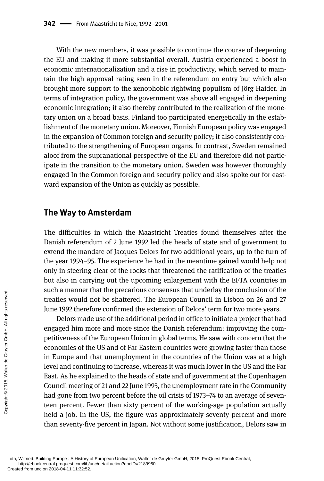With the new members, it was possible to continue the course of deepening the EU and making it more substantial overall. Austria experienced a boost in economic internationalization and a rise in productivity, which served to maintain the high approval rating seen in the referendum on entry but which also brought more support to the xenophobic rightwing populism of Jörg Haider. In terms of integration policy, the government was above all engaged in deepening economic integration; it also thereby contributed to the realization of the monetary union on a broad basis. Finland too participated energetically in the establishment of the monetary union. Moreover, Finnish European policy was engaged in the expansion of Common foreign and security policy; it also consistently contributed to the strengthening of European organs. In contrast, Sweden remained aloof from the supranational perspective of the EU and therefore did not participate in the transition to the monetary union. Sweden was however thoroughly engaged In the Common foreign and security policy and also spoke out for eastward expansion of the Union as quickly as possible.

### **The Way to Amsterdam**

The difficulties in which the Maastricht Treaties found themselves after the Danish referendum of 2 June 1992 led the heads of state and of government to extend the mandate of Jacques Delors for two additional years, up to the turn of the year 1994–95. The experience he had in the meantime gained would help not only in steering clear of the rocks that threatened the ratification of the treaties but also in carrying out the upcoming enlargement with the EFTA countries in such a manner that the precarious consensus that underlay the conclusion of the treaties would not be shattered. The European Council in Lisbon on 26 and 27 June 1992 therefore confirmed the extension of Delors' term for two more years.

Delors made use of the additional period in office to initiate a project that had engaged him more and more since the Danish referendum: improving the competitiveness of the European Union in global terms. He saw with concern that the economies of the US and of Far Eastern countries were growing faster than those in Europe and that unemployment in the countries of the Union was at a high level and continuing to increase, whereas it was much lower in the US and the Far East. As he explained to the heads of state and of government at the Copenhagen Council meeting of 21 and 22 June 1993, the unemployment rate in the Community had gone from two percent before the oil crisis of 1973–74 to an average of seventeen percent. Fewer than sixty percent of the working-age population actually held a job. In the US, the figure was approximately seventy percent and more than seventy-five percent in Japan. Not without some justification, Delors saw in Such a manner<br>
treaties would 1<br>
June 1992 theref<br>
Delors mad<br>
engaged him m<br>
petitiveness of t<br>
economies of the<br>
in Europe and t<br>
level and contin<br>
East. As he expl<br>
Council meeting<br>
had gone from t<br>
teen percent. F<br>
he

Loth, Wilfried. Building Europe : A History of European Unification, Walter de Gruyter GmbH, 2015. ProQuest Ebook Central, http://ebookcentral.proquest.com/lib/unc/detail.action?docID=2189960.<br>Created from unc on 2018-04-11 11:32:52.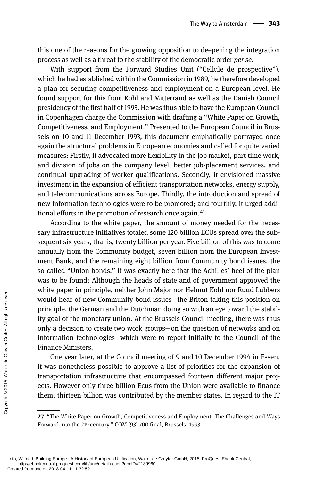this one of the reasons for the growing opposition to deepening the integration process as well as a threat to the stability of the democratic order *per se*.

With support from the Forward Studies Unit ("Cellule de prospective"), which he had established within the Commission in 1989, he therefore developed a plan for securing competitiveness and employment on a European level. He found support for this from Kohl and Mitterrand as well as the Danish Council presidency of the first half of 1993. He was thus able to have the European Council in Copenhagen charge the Commission with drafting a "White Paper on Growth, Competitiveness, and Employment." Presented to the European Council in Brussels on 10 and 11 December 1993, this document emphatically portrayed once again the structural problems in European economies and called for quite varied measures: Firstly, it advocated more flexibility in the job market, part-time work, and division of jobs on the company level, better job-placement services, and continual upgrading of worker qualifications. Secondly, it envisioned massive investment in the expansion of efficient transportation networks, energy supply, and telecommunications across Europe. Thirdly, the introduction and spread of new information technologies were to be promoted; and fourthly, it urged additional efforts in the promotion of research once again. $^{27}$ 

According to the white paper, the amount of money needed for the necessary infrastructure initiatives totaled some 120 billion ECUs spread over the subsequent six years, that is, twenty billion per year. Five billion of this was to come annually from the Community budget, seven billion from the European Investment Bank, and the remaining eight billion from Community bond issues, the so-called "Union bonds." It was exactly here that the Achilles' heel of the plan was to be found: Although the heads of state and of government approved the white paper in principle, neither John Major nor Helmut Kohl nor Ruud Lubbers would hear of new Community bond issues—the Briton taking this position on principle, the German and the Dutchman doing so with an eye toward the stability goal of the monetary union. At the Brussels Council meeting, there was thus only a decision to create two work groups—on the question of networks and on information technologies—which were to report initially to the Council of the Finance Ministers. Writte paper in principle, the Gernary would hear of new principle, the Gernary of the mood only a decision to information techn<br>
Finance Ministers<br>  $\frac{1}{2}$  rights  $\frac{1}{2}$  one year late<br>
it was nonetheles<br>
transportat

One year later, at the Council meeting of 9 and 10 December 1994 in Essen, it was nonetheless possible to approve a list of priorities for the expansion of transportation infrastructure that encompassed fourteen different major projects. However only three billion Ecus from the Union were available to finance them; thirteen billion was contributed by the member states. In regard to the IT

**<sup>27</sup>** "The White Paper on Growth, Competitiveness and Employment. The Challenges and Ways Forward into the 21<sup>st</sup> century." COM (93) 700 final, Brussels, 1993.

Loth, Wilfried. Building Europe : A History of European Unification, Walter de Gruyter GmbH, 2015. ProQuest Ebook Central, http://ebookcentral.proquest.com/lib/unc/detail.action?docID=2189960.<br>Created from unc on 2018-04-11 11:32:52.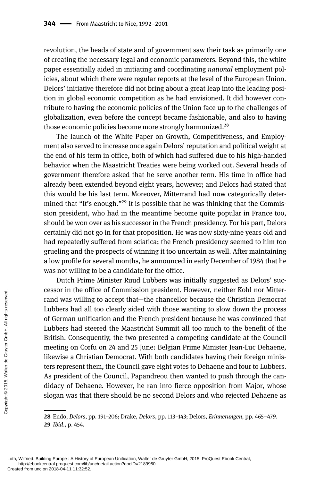revolution, the heads of state and of government saw their task as primarily one of creating the necessary legal and economic parameters. Beyond this, the white paper essentially aided in initiating and coordinating *national* employment policies, about which there were regular reports at the level of the European Union. Delors' initiative therefore did not bring about a great leap into the leading position in global economic competition as he had envisioned. It did however contribute to having the economic policies of the Union face up to the challenges of globalization, even before the concept became fashionable, and also to having those economic policies become more strongly harmonized.<sup>28</sup>

The launch of the White Paper on Growth, Competitiveness, and Employment also served to increase once again Delors' reputation and political weight at the end of his term in office, both of which had suffered due to his high-handed behavior when the Maastricht Treaties were being worked out. Several heads of government therefore asked that he serve another term. His time in office had already been extended beyond eight years, however; and Delors had stated that this would be his last term. Moreover, Mitterrand had now categorically determined that "It's enough."<sup>29</sup> It is possible that he was thinking that the Commission president, who had in the meantime become quite popular in France too, should be won over as his successor in the French presidency. For his part, Delors certainly did not go in for that proposition. He was now sixty-nine years old and had repeatedly suffered from sciatica; the French presidency seemed to him too grueling and the prospects of winning it too uncertain as well. After maintaining a low profile for several months, he announced in early December of 1984 that he was not willing to be a candidate for the office.

Dutch Prime Minister Ruud Lubbers was initially suggested as Delors' successor in the office of Commission president. However, neither Kohl nor Mitterrand was willing to accept that—the chancellor because the Christian Democrat Lubbers had all too clearly sided with those wanting to slow down the process of German unification and the French president because he was convinced that Lubbers had steered the Maastricht Summit all too much to the benefit of the British. Consequently, the two presented a competing candidate at the Council meeting on Corfu on 24 and 25 June: Belgian Prime Minister Jean-Luc Dehaene, likewise a Christian Democrat. With both candidates having their foreign ministers represent them, the Council gave eight votes to Dehaene and four to Lubbers. As president of the Council, Papandreou then wanted to push through the candidacy of Dehaene. However, he ran into fierce opposition from Major, whose slogan was that there should be no second Delors and who rejected Dehaene as Exercise the United States of German unif<br>
Lubbers had all<br>
of German unification<br>
Exercise on Corps and States in British. Consequent<br>
dices a Christens ters represent the As president of didacy of Deha<br>
slogan was that<br>

**<sup>28</sup>** Endo, *Delors*, pp. 191–206; Drake, *Delors*, pp. 113–143; Delors, *Erinnerungen*, pp. 465–479. **29** *Ibid*., p. 454.

Loth, Wilfried. Building Europe : A History of European Unification, Walter de Gruyter GmbH, 2015. ProQuest Ebook Central, http://ebookcentral.proquest.com/lib/unc/detail.action?docID=2189960.<br>Created from unc on 2018-04-11 11:32:52.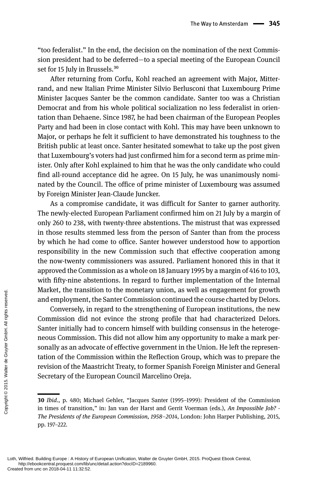"too federalist." In the end, the decision on the nomination of the next Commission president had to be deferred—to a special meeting of the European Council set for 15 July in Brussels.<sup>30</sup>

After returning from Corfu, Kohl reached an agreement with Major, Mitterrand, and new Italian Prime Minister Silvio Berlusconi that Luxembourg Prime Minister Jacques Santer be the common candidate. Santer too was a Christian Democrat and from his whole political socialization no less federalist in orientation than Dehaene. Since 1987, he had been chairman of the European Peoples Party and had been in close contact with Kohl. This may have been unknown to Major, or perhaps he felt it sufficient to have demonstrated his toughness to the British public at least once. Santer hesitated somewhat to take up the post given that Luxembourg's voters had just confirmed him for a second term as prime minister. Only after Kohl explained to him that he was the only candidate who could find all-round acceptance did he agree. On 15 July, he was unanimously nominated by the Council. The office of prime minister of Luxembourg was assumed by Foreign Minister Jean-Claude Juncker.

As a compromise candidate, it was difficult for Santer to garner authority. The newly-elected European Parliament confirmed him on 21 July by a margin of only 260 to 238, with twenty-three abstentions. The mistrust that was expressed in those results stemmed less from the person of Santer than from the process by which he had come to office. Santer however understood how to apportion responsibility in the new Commission such that effective cooperation among the now-twenty commissioners was assured. Parliament honored this in that it approved the Commission as a whole on 18 January 1995 by a margin of 416 to 103, with fifty-nine abstentions. In regard to further implementation of the Internal Market, the transition to the monetary union, as well as engagement for growth and employment, the Santer Commission continued the course charted by Delors.

Conversely, in regard to the strengthening of European institutions, the new Commission did not evince the strong profile that had characterized Delors. Santer initially had to concern himself with building consensus in the heterogeneous Commission. This did not allow him any opportunity to make a mark personally as an advocate of effective government in the Union. He left the representation of the Commission within the Reflection Group, which was to prepare the revision of the Maastricht Treaty, to former Spanish Foreign Minister and General Secretary of the European Council Marcelino Oreja. Malket, the transis<br>
and employment,<br>
conversely, ir<br>
Commission did<br>
Santer initially ha<br>
neous Commission<br>
sonally as an advo<br>
tation of the Commission<br>
revision of the Ma<br>
Secretary of the Endem<br>
served and the B.<br> **30** 

**<sup>30</sup>** *Ibid*., p. 480; Michael Gehler, "Jacques Santer (1995–1999): President of the Commission in times of transition," in: Jan van der Harst and Gerrit Voerman (eds.), *An Impossible Job? - The Presidents of the European Commission, 1958–2014*, London: John Harper Publishing, 2015, pp. 197–222.

Loth, Wilfried. Building Europe : A History of European Unification, Walter de Gruyter GmbH, 2015. ProQuest Ebook Central, http://ebookcentral.proquest.com/lib/unc/detail.action?docID=2189960.<br>Created from unc on 2018-04-11 11:32:52.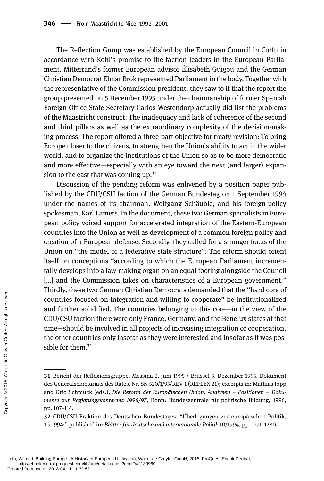The Reflection Group was established by the European Council in Corfu in accordance with Kohl's promise to the faction leaders in the European Parliament. Mitterrand's former European advisor Élisabeth Guigou and the German Christian Democrat Elmar Brok represented Parliament in the body. Together with the representative of the Commission president, they saw to it that the report the group presented on 5 December 1995 under the chairmanship of former Spanish Foreign Office State Secretary Carlos Westendorp actually did list the problems of the Maastricht construct: The inadequacy and lack of coherence of the second and third pillars as well as the extraordinary complexity of the decision-making process. The report offered a three-part objective for treaty revision: To bring Europe closer to the citizens, to strengthen the Union's ability to act in the wider world, and to organize the institutions of the Union so as to be more democratic and more effective—especially with an eye toward the next (and larger) expansion to the east that was coming up. $31$ 

Discussion of the pending reform was enlivened by a position paper published by the CDU/CSU faction of the German Bundestag on 1 September 1994 under the names of its chairman, Wolfgang Schäuble, and his foreign-policy spokesman, Karl Lamers. In the document, these two German specialists in European policy voiced support for accelerated integration of the Eastern-European countries into the Union as well as development of a common foreign policy and creation of a European defense. Secondly, they called for a stronger focus of the Union on "the model of a federative state structure": The reform should orient itself on conceptions "according to which the European Parliament incrementally develops into a law-making organ on an equal footing alongside the Council [...] and the Commission takes on characteristics of a European government." Thirdly, these two German Christian Democrats demanded that the "hard core of countries focused on integration and willing to cooperate" be institutionalized and further solidified. The countries belonging to this core—in the view of the CDU/CSU faction there were only France, Germany, and the Benelux states at that time—should be involved in all projects of increasing integration or cooperation, the other countries only insofar as they were interested and insofar as it was possible for them.<sup>32</sup> From the set of countries focus<br>
and further solid<br>
CDU/CSU factio<br>
time—should be<br>
the other countris sible for them.<sup>32</sup><br>
sible for them.<sup>32</sup><br>
sible for them.<sup>32</sup><br>
and Otto Schmuck<br>
mente zur Regieru<br>
pp. 107–114.<br> **32** 

**<sup>31</sup>** Bericht der Reflexionsgruppe, Messina 2. Juni 1995 / Brüssel 5. Dezember 1995. Dokument des Generalsekretariats des Rates, Nr. SN 520/1/95/REV 1 (REFLEX 21); excerpts in: Mathias Jopp and Otto Schmuck (eds.), *Die Reform der Europäischen Union. Analysen – Positionen – Dokumente zur Regierungskonferenz 1996/97*, Bonn: Bundeszentrale für politische Bildung, 1996, pp. 107–114.

**<sup>32</sup>** CDU/CSU Fraktion des Deutschen Bundestages, "Überlegungen zur europäischen Politik, 1.9.1994;" published in: *Blätter für deutsche und internationale Politik* 10/1994, pp. 1271–1280.

Loth, Wilfried. Building Europe : A History of European Unification, Walter de Gruyter GmbH, 2015. ProQuest Ebook Central, http://ebookcentral.proquest.com/lib/unc/detail.action?docID=2189960.<br>Created from unc on 2018-04-11 11:32:52.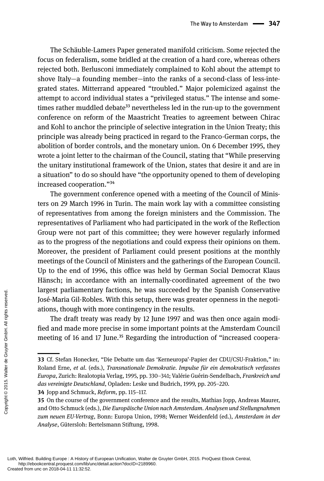The Schäuble-Lamers Paper generated manifold criticism. Some rejected the focus on federalism, some bridled at the creation of a hard core, whereas others rejected both. Berlusconi immediately complained to Kohl about the attempt to shove Italy—a founding member—into the ranks of a second-class of less-integrated states. Mitterrand appeared "troubled." Major polemicized against the attempt to accord individual states a "privileged status." The intense and sometimes rather muddled debate<sup>33</sup> nevertheless led in the run-up to the government conference on reform of the Maastricht Treaties to agreement between Chirac and Kohl to anchor the principle of selective integration in the Union Treaty; this principle was already being practiced in regard to the Franco-German corps, the abolition of border controls, and the monetary union. On 6 December 1995, they wrote a joint letter to the chairman of the Council, stating that "While preserving the unitary institutional framework of the Union, states that desire it and are in a situation" to do so should have "the opportunity opened to them of developing increased cooperation."34

The government conference opened with a meeting of the Council of Ministers on 29 March 1996 in Turin. The main work lay with a committee consisting of representatives from among the foreign ministers and the Commission. The representatives of Parliament who had participated in the work of the Reflection Group were not part of this committee; they were however regularly informed as to the progress of the negotiations and could express their opinions on them. Moreover, the president of Parliament could present positions at the monthly meetings of the Council of Ministers and the gatherings of the European Council. Up to the end of 1996, this office was held by German Social Democrat Klaus Hänsch; in accordance with an internally-coordinated agreement of the two largest parliamentary factions, he was succeeded by the Spanish Conservative José-Maria Gil-Robles. With this setup, there was greater openness in the negotiations, though with more contingency in the results.

The draft treaty was ready by 12 June 1997 and was then once again modified and made more precise in some important points at the Amsterdam Council meeting of 16 and 17 June.<sup>35</sup> Regarding the introduction of "increased coopera-

**34** Jopp and Schmuck, *Reform*, pp. 115–117.

**<sup>33</sup>** Cf. Stefan Honecker, "Die Debatte um das 'Kerneuropa'-Papier der CDU/CSU-Fraktion," in: Roland Erne, *et al*. (eds.), *Transnationale Demokratie. Impulse für ein demokratisch verfasstes Europa*, Zurich: Realotopia Verlag, 1995, pp. 330–341; Valérie Guérin-Sendelbach, *Frankreich und das vereinigte Deutschland*, Opladen: Leske und Budrich, 1999, pp. 205–220. Created from unc on 2018-04-11 11:32:52.<br>
Created from unc on 2018-04-11 11:32:52.<br>
Created from unc on 2018-04-11 11:32:52.<br>
Created from unc on 2018-04-11 11:32:52.<br>
Created from unc on 2018-04-11 11:32:52.<br>
Created fro

**<sup>35</sup>** On the course of the government conference and the results, Mathias Jopp, Andreas Maurer, and Otto Schmuck (eds.), *Die Europäische Union nach Amsterdam. Analysen und Stellungnahmen zum neuen EU-Vertrag*, Bonn: Europa Union, 1998; Werner Weidenfeld (ed.), *Amsterdam in der Analyse*, Gütersloh: Bertelsmann Stiftung, 1998.

Loth, Wilfried. Building Europe : A History of European Unification, Walter de Gruyter GmbH, 2015. ProQuest Ebook Central, http://ebookcentral.proquest.com/lib/unc/detail.action?docID=2189960.<br>Created from unc on 2018-04-11 11:32:52.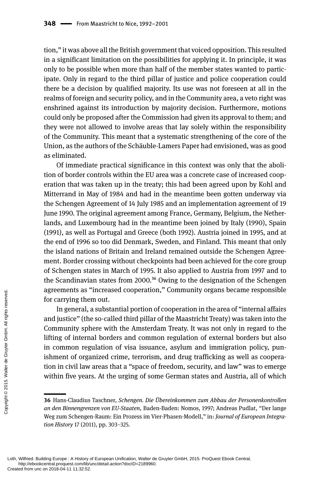tion," it was above all the British government that voiced opposition. This resulted in a significant limitation on the possibilities for applying it. In principle, it was only to be possible when more than half of the member states wanted to participate. Only in regard to the third pillar of justice and police cooperation could there be a decision by qualified majority. Its use was not foreseen at all in the realms of foreign and security policy, and in the Community area, a veto right was enshrined against its introduction by majority decision. Furthermore, motions could only be proposed after the Commission had given its approval to them; and they were not allowed to involve areas that lay solely within the responsibility of the Community. This meant that a systematic strengthening of the core of the Union, as the authors of the Schäuble-Lamers Paper had envisioned, was as good as eliminated.

Of immediate practical significance in this context was only that the abolition of border controls within the EU area was a concrete case of increased cooperation that was taken up in the treaty; this had been agreed upon by Kohl and Mitterrand in May of 1984 and had in the meantime been gotten underway via the Schengen Agreement of 14 July 1985 and an implementation agreement of 19 June 1990. The original agreement among France, Germany, Belgium, the Netherlands, and Luxembourg had in the meantime been joined by Italy (1990), Spain (1991), as well as Portugal and Greece (both 1992). Austria joined in 1995, and at the end of 1996 so too did Denmark, Sweden, and Finland. This meant that only the island nations of Britain and Ireland remained outside the Schengen Agreement. Border crossing without checkpoints had been achieved for the core group of Schengen states in March of 1995. It also applied to Austria from 1997 and to the Scandinavian states from 2000.<sup>36</sup> Owing to the designation of the Schengen agreements as "increased cooperation," Community organs became responsible for carrying them out.

In general, a substantial portion of cooperation in the area of "internal affairs and justice" (the so-called third pillar of the Maastricht Treaty) was taken into the Community sphere with the Amsterdam Treaty. It was not only in regard to the lifting of internal borders and common regulation of external borders but also in common regulation of visa issuance, asylum and immigration policy, punishment of organized crime, terrorism, and drug trafficking as well as cooperation in civil law areas that a "space of freedom, security, and law" was to emerge within five years. At the urging of some German states and Austria, all of which Example the community spherical set on any interest of the community spherical community spherical community spherical community spherical set of the community spherical set of the community spherical set of the control o

**<sup>36</sup>** Hans-Claudius Taschner, *Schengen. Die Übereinkommen zum Abbau der Personenkontrollen an den Binnengrenzen von EU-Staaten*, Baden-Baden: Nomos, 1997; Andreas Pudlat, "Der lange Weg zum Schengen-Raum: Ein Prozess im Vier-Phasen-Modell," in: *Journal of European Integration History* 17 (2011), pp. 303–325.

Loth, Wilfried. Building Europe : A History of European Unification, Walter de Gruyter GmbH, 2015. ProQuest Ebook Central, http://ebookcentral.proquest.com/lib/unc/detail.action?docID=2189960.<br>Created from unc on 2018-04-11 11:32:52.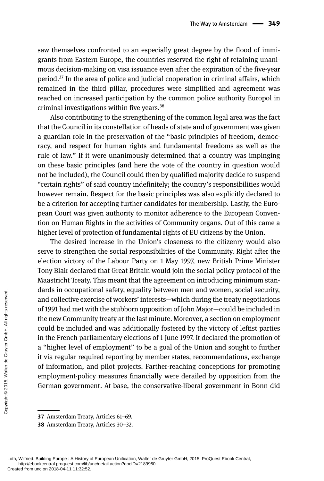saw themselves confronted to an especially great degree by the flood of immigrants from Eastern Europe, the countries reserved the right of retaining unanimous decision-making on visa issuance even after the expiration of the five-year period.37 In the area of police and judicial cooperation in criminal affairs, which remained in the third pillar, procedures were simplified and agreement was reached on increased participation by the common police authority Europol in criminal investigations within five years.<sup>38</sup>

Also contributing to the strengthening of the common legal area was the fact that the Council in its constellation of heads of state and of government was given a guardian role in the preservation of the "basic principles of freedom, democracy, and respect for human rights and fundamental freedoms as well as the rule of law." If it were unanimously determined that a country was impinging on these basic principles (and here the vote of the country in question would not be included), the Council could then by qualified majority decide to suspend "certain rights" of said country indefinitely; the country's responsibilities would however remain. Respect for the basic principles was also explicitly declared to be a criterion for accepting further candidates for membership. Lastly, the European Court was given authority to monitor adherence to the European Convention on Human Rights in the activities of Community organs. Out of this came a higher level of protection of fundamental rights of EU citizens by the Union.

The desired increase in the Union's closeness to the citizenry would also serve to strengthen the social responsibilities of the Community. Right after the election victory of the Labour Party on 1 May 1997, new British Prime Minister Tony Blair declared that Great Britain would join the social policy protocol of the Maastricht Treaty. This meant that the agreement on introducing minimum standards in occupational safety, equality between men and women, social security, and collective exercise of workers' interests—which during the treaty negotiations of 1991 had met with the stubborn opposition of John Major—could be included in the new Community treaty at the last minute. Moreover, a section on employment could be included and was additionally fostered by the victory of leftist parties in the French parliamentary elections of 1 June 1997. It declared the promotion of a "higher level of employment" to be a goal of the Union and sought to further it via regular required reporting by member states, recommendations, exchange of information, and pilot projects. Farther-reaching conceptions for promoting employment-policy measures financially were derailed by opposition from the German government. At base, the conservative-liberal government in Bonn did Exercise the new Communication<br>
on 2019 had met withe new Communication<br>
could be included<br>
in the French parl<br>
a "higher level of<br>
it via regular requestion, a<br>
employment-polic<br>
German governme<br>
Sexual Reserved.<br> **37** Am

**<sup>37</sup>** Amsterdam Treaty, Articles 61–69.

**<sup>38</sup>** Amsterdam Treaty, Articles 30–32.

Loth, Wilfried. Building Europe : A History of European Unification, Walter de Gruyter GmbH, 2015. ProQuest Ebook Central, http://ebookcentral.proquest.com/lib/unc/detail.action?docID=2189960.<br>Created from unc on 2018-04-11 11:32:52.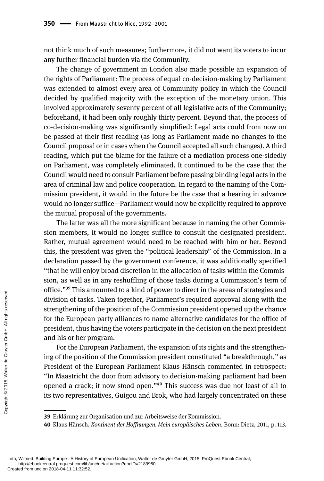not think much of such measures; furthermore, it did not want its voters to incur any further financial burden via the Community.

The change of government in London also made possible an expansion of the rights of Parliament: The process of equal co-decision-making by Parliament was extended to almost every area of Community policy in which the Council decided by qualified majority with the exception of the monetary union. This involved approximately seventy percent of all legislative acts of the Community; beforehand, it had been only roughly thirty percent. Beyond that, the process of co-decision-making was significantly simplified: Legal acts could from now on be passed at their first reading (as long as Parliament made no changes to the Council proposal or in cases when the Council accepted all such changes). A third reading, which put the blame for the failure of a mediation process one-sidedly on Parliament, was completely eliminated. It continued to be the case that the Council would need to consult Parliament before passing binding legal acts in the area of criminal law and police cooperation. In regard to the naming of the Commission president, it would in the future be the case that a hearing in advance would no longer suffice—Parliament would now be explicitly required to approve the mutual proposal of the governments.

The latter was all the more significant because in naming the other Commission members, it would no longer suffice to consult the designated president. Rather, mutual agreement would need to be reached with him or her. Beyond this, the president was given the "political leadership" of the Commission. In a declaration passed by the government conference, it was additionally specified "that he will enjoy broad discretion in the allocation of tasks within the Commission, as well as in any reshuffling of those tasks during a Commission's term of office."<sup>39</sup> This amounted to a kind of power to direct in the areas of strategies and division of tasks. Taken together, Parliament's required approval along with the strengthening of the position of the Commission president opened up the chance for the European party alliances to name alternative candidates for the office of president, thus having the voters participate in the decision on the next president and his or her program.

For the European Parliament, the expansion of its rights and the strengthening of the position of the Commission president constituted "a breakthrough," as President of the European Parliament Klaus Hänsch commented in retrospect: "In Maastricht the door from advisory to decision-making parliament had been opened a crack; it now stood open."40 This success was due not least of all to its two representatives, Guigou and Brok, who had largely concentrated on these From the European of the European president, thus and his or her p<br>
For the European president, thus<br>
and his or her p<br>
For the European president of the Gruyter<br>
Fresident of the "In Maastricht topened a crack<br>
served. Th

**<sup>39</sup>** Erklärung zur Organisation und zur Arbeitsweise der Kommission.

**<sup>40</sup>** Klaus Hänsch, *Kontinent der Hoffnungen. Mein europäisches Leben*, Bonn: Dietz, 2011, p. 113.

Loth, Wilfried. Building Europe : A History of European Unification, Walter de Gruyter GmbH, 2015. ProQuest Ebook Central, http://ebookcentral.proquest.com/lib/unc/detail.action?docID=2189960.<br>Created from unc on 2018-04-11 11:32:52.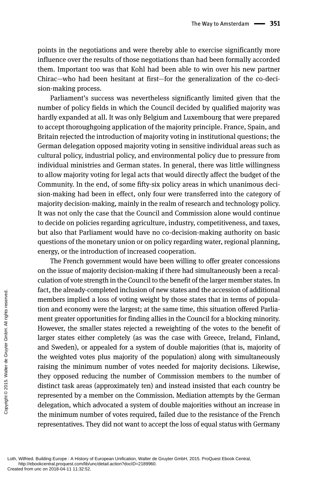points in the negotiations and were thereby able to exercise significantly more influence over the results of those negotiations than had been formally accorded them. Important too was that Kohl had been able to win over his new partner Chirac—who had been hesitant at first—for the generalization of the co-decision-making process.

Parliament's success was nevertheless significantly limited given that the number of policy fields in which the Council decided by qualified majority was hardly expanded at all. It was only Belgium and Luxembourg that were prepared to accept thoroughgoing application of the majority principle. France, Spain, and Britain rejected the introduction of majority voting in institutional questions; the German delegation opposed majority voting in sensitive individual areas such as cultural policy, industrial policy, and environmental policy due to pressure from individual ministries and German states. In general, there was little willingness to allow majority voting for legal acts that would directly affect the budget of the Community. In the end, of some fifty-six policy areas in which unanimous decision-making had been in effect, only four were transferred into the category of majority decision-making, mainly in the realm of research and technology policy. It was not only the case that the Council and Commission alone would continue to decide on policies regarding agriculture, industry, competitiveness, and taxes, but also that Parliament would have no co-decision-making authority on basic questions of the monetary union or on policy regarding water, regional planning, energy, or the introduction of increased cooperation.

The French government would have been willing to offer greater concessions on the issue of majority decision-making if there had simultaneously been a recalculation of vote strength in the Council to the benefit of the larger member states. In fact, the already-completed inclusion of new states and the accession of additional members implied a loss of voting weight by those states that in terms of population and economy were the largest; at the same time, this situation offered Parliament greater opportunities for finding allies in the Council for a blocking minority. However, the smaller states rejected a reweighting of the votes to the benefit of larger states either completely (as was the case with Greece, Ireland, Finland, and Sweden), or appealed for a system of double majorities (that is, majority of the weighted votes plus majority of the population) along with simultaneously raising the minimum number of votes needed for majority decisions. Likewise, they opposed reducing the number of Commission members to the number of distinct task areas (approximately ten) and instead insisted that each country be represented by a member on the Commission. Mediation attempts by the German delegation, which advocated a system of double majorities without an increase in the minimum number of votes required, failed due to the resistance of the French representatives. They did not want to accept the loss of equal status with Germany From the anteady-community members implied<br>tion and economy<br>ment greater oppo<br>However, the sman larger states eithe<br>and Sweden), or a the weighted vote<br>raising the minim<br>they opposed red<br>distinct task areas<br>represented by

Loth, Wilfried. Building Europe : A History of European Unification, Walter de Gruyter GmbH, 2015. ProQuest Ebook Central, http://ebookcentral.proquest.com/lib/unc/detail.action?docID=2189960.<br>Created from unc on 2018-04-11 11:32:52.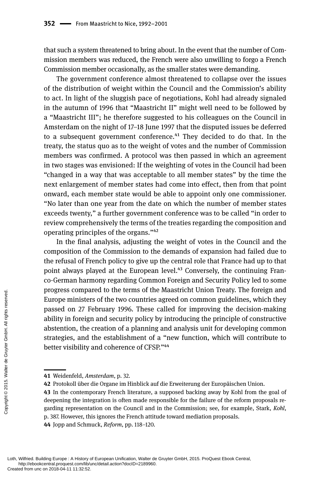that such a system threatened to bring about. In the event that the number of Commission members was reduced, the French were also unwilling to forgo a French Commission member occasionally, as the smaller states were demanding.

The government conference almost threatened to collapse over the issues of the distribution of weight within the Council and the Commission's ability to act. In light of the sluggish pace of negotiations, Kohl had already signaled in the autumn of 1996 that "Maastricht II" might well need to be followed by a "Maastricht III"; he therefore suggested to his colleagues on the Council in Amsterdam on the night of 17–18 June 1997 that the disputed issues be deferred to a subsequent government conference.<sup>41</sup> They decided to do that. In the treaty, the status quo as to the weight of votes and the number of Commission members was confirmed. A protocol was then passed in which an agreement in two stages was envisioned: If the weighting of votes in the Council had been "changed in a way that was acceptable to all member states" by the time the next enlargement of member states had come into effect, then from that point onward, each member state would be able to appoint only one commissioner. "No later than one year from the date on which the number of member states exceeds twenty," a further government conference was to be called "in order to review comprehensively the terms of the treaties regarding the composition and operating principles of the organs."42

In the final analysis, adjusting the weight of votes in the Council and the composition of the Commission to the demands of expansion had failed due to the refusal of French policy to give up the central role that France had up to that point always played at the European level.<sup>43</sup> Conversely, the continuing Franco-German harmony regarding Common Foreign and Security Policy led to some progress compared to the terms of the Maastricht Union Treaty. The foreign and Europe ministers of the two countries agreed on common guidelines, which they passed on 27 February 1996. These called for improving the decision-making ability in foreign and security policy by introducing the principle of constructive abstention, the creation of a planning and analysis unit for developing common strategies, and the establishment of a "new function, which will contribute to better visibility and coherence of CFSP."44 Progress compared from the Europe minister<br>
gassed on 27 F<br>
ability in foreign<br>
abstention, the<br>
strategies, and<br>
better visibility<br>  $\frac{20}{20}$ <br>  $\frac{20}{20}$ <br>  $\frac{20}{20}$ <br>  $\frac{20}{20}$ <br>  $\frac{20}{20}$ <br>  $\frac{20}{20}$ <br>  $\frac{20}{20}$ 

**<sup>41</sup>** Weidenfeld, *Amsterdam*, p. 32.

**<sup>42</sup>** Protokoll über die Organe im Hinblick auf die Erweiterung der Europäischen Union.

**<sup>43</sup>** In the contemporary French literature, a supposed backing away by Kohl from the goal of deepening the integration is often made responsible for the failure of the reform proposals regarding representation on the Council and in the Commission; see, for example, Stark, *Kohl*, p. 387. However, this ignores the French attitude toward mediation proposals.

**<sup>44</sup>** Jopp and Schmuck, *Reform*, pp. 118–120.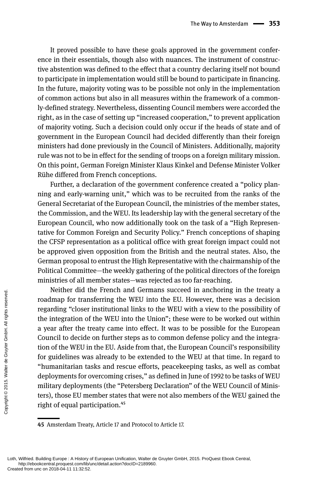It proved possible to have these goals approved in the government conference in their essentials, though also with nuances. The instrument of constructive abstention was defined to the effect that a country declaring itself not bound to participate in implementation would still be bound to participate in financing. In the future, majority voting was to be possible not only in the implementation of common actions but also in all measures within the framework of a commonly-defined strategy. Nevertheless, dissenting Council members were accorded the right, as in the case of setting up "increased cooperation," to prevent application of majority voting. Such a decision could only occur if the heads of state and of government in the European Council had decided differently than their foreign ministers had done previously in the Council of Ministers. Additionally, majority rule was not to be in effect for the sending of troops on a foreign military mission. On this point, German Foreign Minister Klaus Kinkel and Defense Minister Volker Rühe differed from French conceptions.

Further, a declaration of the government conference created a "policy planning and early-warning unit," which was to be recruited from the ranks of the General Secretariat of the European Council, the ministries of the member states, the Commission, and the WEU. Its leadership lay with the general secretary of the European Council, who now additionally took on the task of a "High Representative for Common Foreign and Security Policy." French conceptions of shaping the CFSP representation as a political office with great foreign impact could not be approved given opposition from the British and the neutral states. Also, the German proposal to entrust the High Representative with the chairmanship of the Political Committee—the weekly gathering of the political directors of the foreign ministries of all member states—was rejected as too far-reaching.

Neither did the French and Germans succeed in anchoring in the treaty a roadmap for transferring the WEU into the EU. However, there was a decision regarding "closer institutional links to the WEU with a view to the possibility of the integration of the WEU into the Union"; these were to be worked out within a year after the treaty came into effect. It was to be possible for the European Council to decide on further steps as to common defense policy and the integration of the WEU in the EU. Aside from that, the European Council's responsibility for guidelines was already to be extended to the WEU at that time. In regard to "humanitarian tasks and rescue efforts, peacekeeping tasks, as well as combat deployments for overcoming crises," as defined in June of 1992 to be tasks of WEU military deployments (the "Petersberg Declaration" of the WEU Council of Ministers), those EU member states that were not also members of the WEU gained the right of equal participation.<sup>45</sup> From the integration of<br>
the integration of<br>
a year after the the the Council to decide<br>
tion of the WEU ir<br>
for guidelines was<br>
"humanitarian ta<br>
deployments for o<br>
signess in the strength of equal part<br>
right of equal pa

**<sup>45</sup>** Amsterdam Treaty, Article 17 and Protocol to Article 17.

Loth, Wilfried. Building Europe : A History of European Unification, Walter de Gruyter GmbH, 2015. ProQuest Ebook Central, http://ebookcentral.proquest.com/lib/unc/detail.action?docID=2189960.<br>Created from unc on 2018-04-11 11:32:52.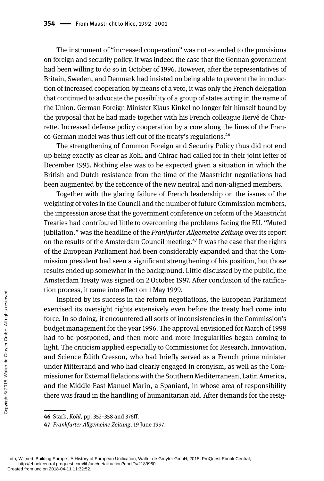The instrument of "increased cooperation" was not extended to the provisions on foreign and security policy. It was indeed the case that the German government had been willing to do so in October of 1996. However, after the representatives of Britain, Sweden, and Denmark had insisted on being able to prevent the introduction of increased cooperation by means of a veto, it was only the French delegation that continued to advocate the possibility of a group of states acting in the name of the Union. German Foreign Minister Klaus Kinkel no longer felt himself bound by the proposal that he had made together with his French colleague Hervé de Charrette. Increased defense policy cooperation by a core along the lines of the Franco-German model was thus left out of the treaty's regulations.46

The strengthening of Common Foreign and Security Policy thus did not end up being exactly as clear as Kohl and Chirac had called for in their joint letter of December 1995. Nothing else was to be expected given a situation in which the British and Dutch resistance from the time of the Maastricht negotiations had been augmented by the reticence of the new neutral and non-aligned members.

Together with the glaring failure of French leadership on the issues of the weighting of votes in the Council and the number of future Commission members, the impression arose that the government conference on reform of the Maastricht Treaties had contributed little to overcoming the problems facing the EU. "Muted jubilation," was the headline of the *Frankfurter Allgemeine Zeitung* over its report on the results of the Amsterdam Council meeting.<sup>47</sup> It was the case that the rights of the European Parliament had been considerably expanded and that the Commission president had seen a significant strengthening of his position, but those results ended up somewhat in the background. Little discussed by the public, the Amsterdam Treaty was signed on 2 October 1997. After conclusion of the ratification process, it came into effect on 1 May 1999.

Inspired by its success in the reform negotiations, the European Parliament exercised its oversight rights extensively even before the treaty had come into force. In so doing, it encountered all sorts of inconsistencies in the Commission's budget management for the year 1996. The approval envisioned for March of 1998 had to be postponed, and then more and more irregularities began coming to light. The criticism applied especially to Commissioner for Research, Innovation, and Science Édith Cresson, who had briefly served as a French prime minister under Mitterrand and who had clearly engaged in cronyism, as well as the Commissioner for External Relations with the Southern Mediterranean, Latin America, and the Middle East Manuel Marín, a Spaniard, in whose area of responsibility there was fraud in the handling of humanitarian aid. After demands for the resig-Example 1 Inspired by<br>
Exercised its over<br>
force. In so doir.<br>
budget manager<br>
had to be post<br>
light. The critici<br>
and Science Éd<br>
under Mitterran<br>
missioner for Ex<br>
and the Middle<br>
there was fraud<br>  $\overline{46}$  Stark, *Kohl* 

**<sup>46</sup>** Stark, *Kohl*, pp. 352–358 and 376ff.

**<sup>47</sup>** *Frankfurter Allgemeine Zeitung*, 19 June 1997.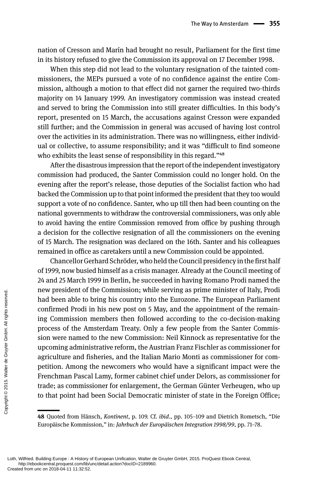nation of Cresson and Marín had brought no result, Parliament for the first time in its history refused to give the Commission its approval on 17 December 1998.

When this step did not lead to the voluntary resignation of the tainted commissioners, the MEPs pursued a vote of no confidence against the entire Commission, although a motion to that effect did not garner the required two-thirds majority on 14 January 1999. An investigatory commission was instead created and served to bring the Commission into still greater difficulties. In this body's report, presented on 15 March, the accusations against Cresson were expanded still further; and the Commission in general was accused of having lost control over the activities in its administration. There was no willingness, either individual or collective, to assume responsibility; and it was "difficult to find someone who exhibits the least sense of responsibility in this regard."<sup>48</sup>

After the disastrous impression that the report of the independent investigatory commission had produced, the Santer Commission could no longer hold. On the evening after the report's release, those deputies of the Socialist faction who had backed the Commission up to that point informed the president that they too would support a vote of no confidence. Santer, who up till then had been counting on the national governments to withdraw the controversial commissioners, was only able to avoid having the entire Commission removed from office by pushing through a decision for the collective resignation of all the commissioners on the evening of 15 March. The resignation was declared on the 16th. Santer and his colleagues remained in office as caretakers until a new Commission could be appointed.

Chancellor Gerhard Schröder, who held the Council presidency in the first half of 1999, now busied himself as a crisis manager. Already at the Council meeting of 24 and 25 March 1999 in Berlin, he succeeded in having Romano Prodi named the new president of the Commission; while serving as prime minister of Italy, Prodi had been able to bring his country into the Eurozone. The European Parliament confirmed Prodi in his new post on 5 May, and the appointment of the remaining Commission members then followed according to the co-decision-making process of the Amsterdam Treaty. Only a few people from the Santer Commission were named to the new Commission: Neil Kinnock as representative for the upcoming administrative reform, the Austrian Franz Fischler as commissioner for agriculture and fisheries, and the Italian Mario Monti as commissioner for competition. Among the newcomers who would have a significant impact were the Frenchman Pascal Lamy, former cabinet chief under Delors, as commissioner for trade; as commissioner for enlargement, the German Günter Verheugen, who up to that point had been Social Democratic minister of state in the Foreign Office; The meanuated From the president of the confirmed Prodi in the confirmed Prodi in the confirmed Prodi in the sion were named upcoming adminited approximate and finited and the served trade; as commissed trade; as commisse

**<sup>48</sup>** Quoted from Hänsch, *Kontinent*, p. 109. Cf. *ibid*., pp. 105–109 and Dietrich Rometsch, "Die Europäische Kommission," in: *Jahrbuch der Europäischen Integration 1998/99*, pp. 71–78.

Loth, Wilfried. Building Europe : A History of European Unification, Walter de Gruyter GmbH, 2015. ProQuest Ebook Central, http://ebookcentral.proquest.com/lib/unc/detail.action?docID=2189960.<br>Created from unc on 2018-04-11 11:32:52.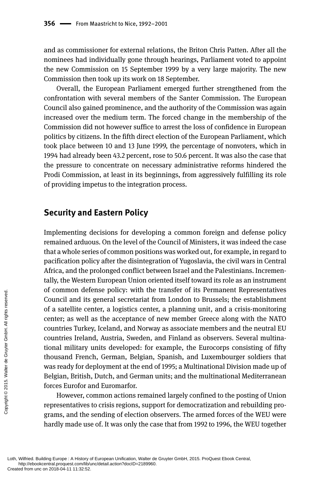and as commissioner for external relations, the Briton Chris Patten. After all the nominees had individually gone through hearings, Parliament voted to appoint the new Commission on 15 September 1999 by a very large majority. The new Commission then took up its work on 18 September.

Overall, the European Parliament emerged further strengthened from the confrontation with several members of the Santer Commission. The European Council also gained prominence, and the authority of the Commission was again increased over the medium term. The forced change in the membership of the Commission did not however suffice to arrest the loss of confidence in European politics by citizens. In the fifth direct election of the European Parliament, which took place between 10 and 13 June 1999, the percentage of nonvoters, which in 1994 had already been 43.2 percent, rose to 50.6 percent. It was also the case that the pressure to concentrate on necessary administrative reforms hindered the Prodi Commission, at least in its beginnings, from aggressively fulfilling its role of providing impetus to the integration process.

## **Security and Eastern Policy**

Implementing decisions for developing a common foreign and defense policy remained arduous. On the level of the Council of Ministers, it was indeed the case that a whole series of common positions was worked out, for example, in regard to pacification policy after the disintegration of Yugoslavia, the civil wars in Central Africa, and the prolonged conflict between Israel and the Palestinians. Incrementally, the Western European Union oriented itself toward its role as an instrument of common defense policy: with the transfer of its Permanent Representatives Council and its general secretariat from London to Brussels; the establishment of a satellite center, a logistics center, a planning unit, and a crisis-monitoring center; as well as the acceptance of new member Greece along with the NATO countries Turkey, Iceland, and Norway as associate members and the neutral EU countries Ireland, Austria, Sweden, and Finland as observers. Several multinational military units developed: for example, the Eurocorps consisting of fifty thousand French, German, Belgian, Spanish, and Luxembourger soldiers that was ready for deployment at the end of 1995; a Multinational Division made up of Belgian, British, Dutch, and German units; and the multinational Mediterranean forces Eurofor and Euromarfor. Created from unc n 2018-04-11 11:32:52.<br>Created from unc n 2018-04-11 11:32:52.<br>Created from unc n 2018-04-11 11:32:52.<br>Created from unc n 2018-04-11 11:32:52.<br>Created from unc n 2018-04-11 11:32:52.<br>Created from unc n 20

However, common actions remained largely confined to the posting of Union representatives to crisis regions, support for democratization and rebuilding programs, and the sending of election observers. The armed forces of the WEU were hardly made use of. It was only the case that from 1992 to 1996, the WEU together

Loth, Wilfried. Building Europe : A History of European Unification, Walter de Gruyter GmbH, 2015. ProQuest Ebook Central, http://ebookcentral.proquest.com/lib/unc/detail.action?docID=2189960.<br>Created from unc on 2018-04-11 11:32:52.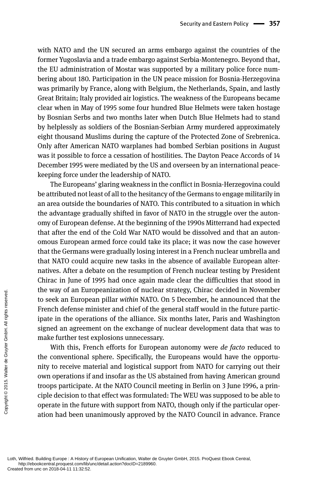with NATO and the UN secured an arms embargo against the countries of the former Yugoslavia and a trade embargo against Serbia-Montenegro. Beyond that, the EU administration of Mostar was supported by a military police force numbering about 180. Participation in the UN peace mission for Bosnia-Herzegovina was primarily by France, along with Belgium, the Netherlands, Spain, and lastly Great Britain; Italy provided air logistics. The weakness of the Europeans became clear when in May of 1995 some four hundred Blue Helmets were taken hostage by Bosnian Serbs and two months later when Dutch Blue Helmets had to stand by helplessly as soldiers of the Bosnian-Serbian Army murdered approximately eight thousand Muslims during the capture of the Protected Zone of Srebrenica. Only after American NATO warplanes had bombed Serbian positions in August was it possible to force a cessation of hostilities. The Dayton Peace Accords of 14 December 1995 were mediated by the US and overseen by an international peacekeeping force under the leadership of NATO.

The Europeans' glaring weakness in the conflict in Bosnia-Herzegovina could be attributed not least of all to the hesitancy of the Germans to engage militarily in an area outside the boundaries of NATO. This contributed to a situation in which the advantage gradually shifted in favor of NATO in the struggle over the autonomy of European defense. At the beginning of the 1990s Mitterrand had expected that after the end of the Cold War NATO would be dissolved and that an autonomous European armed force could take its place; it was now the case however that the Germans were gradually losing interest in a French nuclear umbrella and that NATO could acquire new tasks in the absence of available European alternatives. After a debate on the resumption of French nuclear testing by President Chirac in June of 1995 had once again made clear the difficulties that stood in the way of an Europeanization of nuclear strategy, Chirac decided in November to seek an European pillar *within* NATO. On 5 December, he announced that the French defense minister and chief of the general staff would in the future participate in the operations of the alliance. Six months later, Paris and Washington signed an agreement on the exchange of nuclear development data that was to make further test explosions unnecessary.

With this, French efforts for European autonomy were *de facto* reduced to the conventional sphere. Specifically, the Europeans would have the opportunity to receive material and logistical support from NATO for carrying out their own operations if and insofar as the US abstained from having American ground troops participate. At the NATO Council meeting in Berlin on 3 June 1996, a principle decision to that effect was formulated: The WEU was supposed to be able to operate in the future with support from NATO, though only if the particular operation had been unanimously approved by the NATO Council in advance. France The model of the way of an Europe<br>
to seek an Europe<br>
French defense m<br>
ipate in the operations<br>
signed an agreem<br>
make further test<br>
With this, Fre<br>
the conventional<br>
nity to receive ma<br>
own operations if<br>
troops particip

Loth, Wilfried. Building Europe : A History of European Unification, Walter de Gruyter GmbH, 2015. ProQuest Ebook Central, http://ebookcentral.proquest.com/lib/unc/detail.action?docID=2189960.<br>Created from unc on 2018-04-11 11:32:52.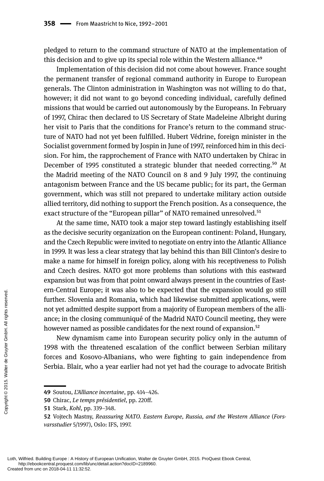pledged to return to the command structure of NATO at the implementation of this decision and to give up its special role within the Western alliance.<sup>49</sup>

Implementation of this decision did not come about however. France sought the permanent transfer of regional command authority in Europe to European generals. The Clinton administration in Washington was not willing to do that, however; it did not want to go beyond conceding individual, carefully defined missions that would be carried out autonomously by the Europeans. In February of 1997, Chirac then declared to US Secretary of State Madeleine Albright during her visit to Paris that the conditions for France's return to the command structure of NATO had not yet been fulfilled. Hubert Védrine, foreign minister in the Socialist government formed by Jospin in June of 1997, reinforced him in this decision. For him, the rapprochement of France with NATO undertaken by Chirac in December of 1995 constituted a strategic blunder that needed correcting.<sup>50</sup> At the Madrid meeting of the NATO Council on 8 and 9 July 1997, the continuing antagonism between France and the US became public; for its part, the German government, which was still not prepared to undertake military action outside allied territory, did nothing to support the French position. As a consequence, the exact structure of the "European pillar" of NATO remained unresolved.<sup>51</sup>

At the same time, NATO took a major step toward lastingly establishing itself as the decisive security organization on the European continent: Poland, Hungary, and the Czech Republic were invited to negotiate on entry into the Atlantic Alliance in 1999. It was less a clear strategy that lay behind this than Bill Clinton's desire to make a name for himself in foreign policy, along with his receptiveness to Polish and Czech desires. NATO got more problems than solutions with this eastward expansion but was from that point onward always present in the countries of Eastern-Central Europe; it was also to be expected that the expansion would go still further. Slovenia and Romania, which had likewise submitted applications, were not yet admitted despite support from a majority of European members of the alliance; in the closing communiqué of the Madrid NATO Council meeting, they were however named as possible candidates for the next round of expansion.<sup>52</sup> From the close of the close of the close of the close of the close of the close of the close of the close of the close of the forces and Kos Serbia. Blair, where  $\frac{20}{20}$  and  $\frac{20}{20}$  and  $\frac{20}{20}$  and  $\frac{20}{20}$ 

New dynamism came into European security policy only in the autumn of 1998 with the threatened escalation of the conflict between Serbian military forces and Kosovo-Albanians, who were fighting to gain independence from Serbia. Blair, who a year earlier had not yet had the courage to advocate British

**<sup>49</sup>** Soutou, *L'Alliance incertaine*, pp. 414–426.

**<sup>50</sup>** Chirac, *Le temps présidentiel*, pp. 220ff.

**<sup>51</sup>** Stark, *Kohl*, pp. 339–348.

**<sup>52</sup>** Vojtech Mastny, *Reassuring NATO. Eastern Europe, Russia, and the Western Alliance* (*Forsvarsstudier* 5/1997), Oslo: IFS, 1997.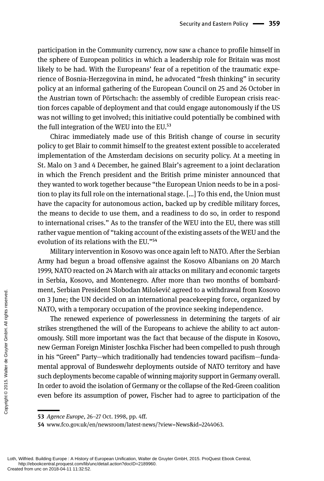participation in the Community currency, now saw a chance to profile himself in the sphere of European politics in which a leadership role for Britain was most likely to be had. With the Europeans' fear of a repetition of the traumatic experience of Bosnia-Herzegovina in mind, he advocated "fresh thinking" in security policy at an informal gathering of the European Council on 25 and 26 October in the Austrian town of Pörtschach: the assembly of credible European crisis reaction forces capable of deployment and that could engage autonomously if the US was not willing to get involved; this initiative could potentially be combined with the full integration of the WEU into the EU.<sup>53</sup>

Chirac immediately made use of this British change of course in security policy to get Blair to commit himself to the greatest extent possible to accelerated implementation of the Amsterdam decisions on security policy. At a meeting in St. Malo on 3 and 4 December, he gained Blair's agreement to a joint declaration in which the French president and the British prime minister announced that they wanted to work together because "the European Union needs to be in a position to play its full role on the international stage. […] To this end, the Union must have the capacity for autonomous action, backed up by credible military forces, the means to decide to use them, and a readiness to do so, in order to respond to international crises." As to the transfer of the WEU into the EU, there was still rather vague mention of "taking account of the existing assets of the WEU and the evolution of its relations with the EU."54

Military intervention in Kosovo was once again left to NATO. After the Serbian Army had begun a broad offensive against the Kosovo Albanians on 20 March 1999, NATO reacted on 24 March with air attacks on military and economic targets in Serbia, Kosovo, and Montenegro. After more than two months of bombardment, Serbian President Slobodan Milošević agreed to a withdrawal from Kosovo on 3 June; the UN decided on an international peacekeeping force, organized by NATO, with a temporary occupation of the province seeking independence.

The renewed experience of powerlessness in determining the targets of air strikes strengthened the will of the Europeans to achieve the ability to act autonomously. Still more important was the fact that because of the dispute in Kosovo, new German Foreign Minister Joschka Fischer had been compelled to push through in his "Green" Party—which traditionally had tendencies toward pacifism—fundamental approval of Bundeswehr deployments outside of NATO territory and have such deployments become capable of winning majority support in Germany overall. In order to avoid the isolation of Germany or the collapse of the Red-Green coalition even before its assumption of power, Fischer had to agree to participation of the Exercise the UN<br>
Serbidal Preserved<br>
Serbidal Created Strikes strengthen<br>
The renewed<br>
strikes strengthen<br>
omously. Still more<br>
new German Forei<br>
in his "Green" Par<br>
mental approval c<br>
such deployments<br>
In order to avoid t

**<sup>53</sup>** *Agence Europe*, 26–27 Oct. 1998, pp. 4ff.

**<sup>54</sup>** www.fco.gov.uk/en/newsroom/latest-news/?view=News&id=2244063.

Loth, Wilfried. Building Europe : A History of European Unification, Walter de Gruyter GmbH, 2015. ProQuest Ebook Central, http://ebookcentral.proquest.com/lib/unc/detail.action?docID=2189960.<br>Created from unc on 2018-04-11 11:32:52.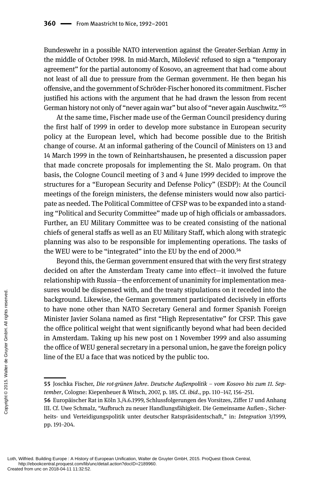Bundeswehr in a possible NATO intervention against the Greater-Serbian Army in the middle of October 1998. In mid-March, Milošević refused to sign a "temporary agreement" for the partial autonomy of Kosovo, an agreement that had come about not least of all due to pressure from the German government. He then began his offensive, and the government of Schröder-Fischer honored its commitment. Fischer justified his actions with the argument that he had drawn the lesson from recent German history not only of "never again war" but also of "never again Auschwitz."55

At the same time, Fischer made use of the German Council presidency during the first half of 1999 in order to develop more substance in European security policy at the European level, which had become possible due to the British change of course. At an informal gathering of the Council of Ministers on 13 and 14 March 1999 in the town of Reinhartshausen, he presented a discussion paper that made concrete proposals for implementing the St. Malo program. On that basis, the Cologne Council meeting of 3 and 4 June 1999 decided to improve the structures for a "European Security and Defense Policy" (ESDP): At the Council meetings of the foreign ministers, the defense ministers would now also participate as needed. The Political Committee of CFSP was to be expanded into a standing "Political and Security Committee" made up of high officials or ambassadors. Further, an EU Military Committee was to be created consisting of the national chiefs of general staffs as well as an EU Military Staff, which along with strategic planning was also to be responsible for implementing operations. The tasks of the WEU were to be "integrated" into the EU by the end of 2000.<sup>56</sup>

Beyond this, the German government ensured that with the very first strategy decided on after the Amsterdam Treaty came into effect—it involved the future relationship with Russia—the enforcement of unanimity for implementation measures would be dispensed with, and the treaty stipulations on it receded into the background. Likewise, the German government participated decisively in efforts to have none other than NATO Secretary General and former Spanish Foreign Minister Javier Solana named as first "High Representative" for CFSP. This gave the office political weight that went significantly beyond what had been decided in Amsterdam. Taking up his new post on 1 November 1999 and also assuming the office of WEU general secretary in a personal union, he gave the foreign policy line of the EU a face that was noticed by the public too. Bester and Minister Javier<br>  $\frac{1}{2}$  is the office politic in Amsterdam.<br>
the office politic in Amsterdam.<br>
the office of WE line of the EU a<br>  $\frac{1}{2}$  is  $\frac{1}{2}$  is  $\frac{1}{2}$  is  $\frac{1}{2}$  is  $\frac{1}{2}$  is  $\frac{1}{2}$  is

Loth, Wilfried. Building Europe : A History of European Unification, Walter de Gruyter GmbH, 2015. ProQuest Ebook Central, http://ebookcentral.proquest.com/lib/unc/detail.action?docID=2189960.<br>Created from unc on 2018-04-11 11:32:52.

**<sup>55</sup>** Joschka Fischer, *Die rot-grünen Jahre. Deutsche Außenpolitik – vom Kosovo bis zum 11. September*, Cologne: Kiepenheuer & Witsch, 2007, p. 185. Cf. *ibid*., pp. 110–147, 156–251.

**<sup>56</sup>** Europäischer Rat in Köln 3./4.6.1999, Schlussfolgerungen des Vorsitzes, Ziffer 17 und Anhang III. Cf. Uwe Schmalz, "Aufbruch zu neuer Handlungsfähigkeit. Die Gemeinsame Außen-, Sicherheits- und Verteidigungspolitik unter deutscher Ratspräsidentschaft," in: *Integration* 3/1999, pp. 191–204.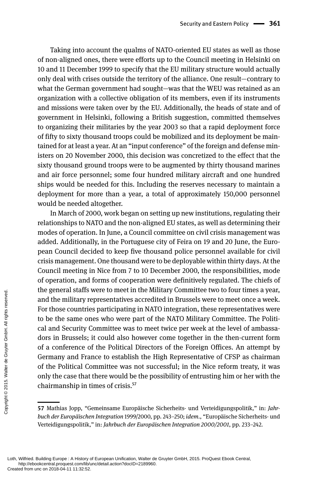Taking into account the qualms of NATO-oriented EU states as well as those of non-aligned ones, there were efforts up to the Council meeting in Helsinki on 10 and 11 December 1999 to specify that the EU military structure would actually only deal with crises outside the territory of the alliance. One result—contrary to what the German government had sought—was that the WEU was retained as an organization with a collective obligation of its members, even if its instruments and missions were taken over by the EU. Additionally, the heads of state and of government in Helsinki, following a British suggestion, committed themselves to organizing their militaries by the year 2003 so that a rapid deployment force of fifty to sixty thousand troops could be mobilized and its deployment be maintained for at least a year. At an "input conference" of the foreign and defense ministers on 20 November 2000, this decision was concretized to the effect that the sixty thousand ground troops were to be augmented by thirty thousand marines and air force personnel; some four hundred military aircraft and one hundred ships would be needed for this. Including the reserves necessary to maintain a deployment for more than a year, a total of approximately 150,000 personnel would be needed altogether.

In March of 2000, work began on setting up new institutions, regulating their relationships to NATO and the non-aligned EU states, as well as determining their modes of operation. In June, a Council committee on civil crisis management was added. Additionally, in the Portuguese city of Feira on 19 and 20 June, the European Council decided to keep five thousand police personnel available for civil crisis management. One thousand were to be deployable within thirty days. At the Council meeting in Nice from 7 to 10 December 2000, the responsibilities, mode of operation, and forms of cooperation were definitively regulated. The chiefs of the general staffs were to meet in the Military Committee two to four times a year, and the military representatives accredited in Brussels were to meet once a week. For those countries participating in NATO integration, these representatives were to be the same ones who were part of the NATO Military Committee. The Political and Security Committee was to meet twice per week at the level of ambassadors in Brussels; it could also however come together in the then-current form of a conference of the Political Directors of the Foreign Offices. An attempt by Germany and France to establish the High Representative of CFSP as chairman of the Political Committee was not successful; in the Nice reform treaty, it was only the case that there would be the possibility of entrusting him or her with the chairmanship in times of crisis.57 The sense of the military reserved.<br>
The same or cal and Security (<br>
dors in Brussels;<br>
of a conference of Germany and Fra<br>
of the Political Copyrights reserved.<br>
Sense that<br>
chairmanship in t<br>
Copyrights Jopp, "G<br> *ST* Ma

**<sup>57</sup>** Mathias Jopp, "Gemeinsame Europäische Sicherheits- und Verteidigungspolitik," in: *Jahrbuch der Europäischen Integration* 1999/2000, pp. 243–250; *idem*., "Europäische Sicherheits- und Verteidigungspolitik," in: *Jahrbuch der Europäischen Integration 2000/2001*, pp. 233–242.

Loth, Wilfried. Building Europe : A History of European Unification, Walter de Gruyter GmbH, 2015. ProQuest Ebook Central, http://ebookcentral.proquest.com/lib/unc/detail.action?docID=2189960.<br>Created from unc on 2018-04-11 11:32:52.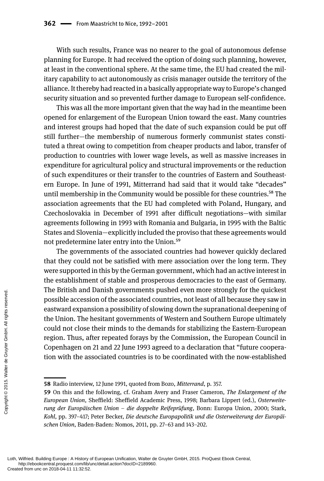With such results, France was no nearer to the goal of autonomous defense planning for Europe. It had received the option of doing such planning, however, at least in the conventional sphere. At the same time, the EU had created the military capability to act autonomously as crisis manager outside the territory of the alliance. It thereby had reacted in a basically appropriate way to Europe's changed security situation and so prevented further damage to European self-confidence.

This was all the more important given that the way had in the meantime been opened for enlargement of the European Union toward the east. Many countries and interest groups had hoped that the date of such expansion could be put off still further—the membership of numerous formerly communist states constituted a threat owing to competition from cheaper products and labor, transfer of production to countries with lower wage levels, as well as massive increases in expenditure for agricultural policy and structural improvements or the reduction of such expenditures or their transfer to the countries of Eastern and Southeastern Europe. In June of 1991, Mitterrand had said that it would take "decades" until membership in the Community would be possible for these countries.<sup>58</sup> The association agreements that the EU had completed with Poland, Hungary, and Czechoslovakia in December of 1991 after difficult negotiations—with similar agreements following in 1993 with Romania and Bulgaria, in 1995 with the Baltic States and Slovenia—explicitly included the proviso that these agreements would not predetermine later entry into the Union.<sup>59</sup>

The governments of the associated countries had however quickly declared that they could not be satisfied with mere association over the long term. They were supported in this by the German government, which had an active interest in the establishment of stable and prosperous democracies to the east of Germany. The British and Danish governments pushed even more strongly for the quickest possible accession of the associated countries, not least of all because they saw in eastward expansion a possibility of slowing down the supranational deepening of the Union. The hesitant governments of Western and Southern Europe ultimately could not close their minds to the demands for stabilizing the Eastern-European region. Thus, after repeated forays by the Commission, the European Council in Copenhagen on 21 and 22 June 1993 agreed to a declaration that "future cooperation with the associated countries is to be coordinated with the now-established The British and<br>
possible accessi<br>
eastward expan<br>
the Union. The l<br>
could not close<br>
region. Thus, af<br>
Copenhagen on<br>
tion with the as<br>  $\frac{1}{2}$ <br>  $\frac{1}{2}$ <br>  $\frac{1}{2}$ <br>  $\frac{1}{2}$ <br>  $\frac{1}{2}$ <br>  $\frac{1}{2}$ <br>  $\frac{1}{2}$ <br>  $\frac{1}{2$ 

**<sup>58</sup>** Radio interview, 12 June 1991, quoted from Bozo, *Mitterrand*, p. 357.

**<sup>59</sup>** On this and the following, cf. Graham Avery and Fraser Cameron, *The Enlargement of the European Union*, Sheffield: Sheffield Academic Press, 1998; Barbara Lippert (ed.), *Osterweiterung der Europäischen Union – die doppelte Reifeprüfung*, Bonn: Europa Union, 2000; Stark, *Kohl*, pp. 397–417; Peter Becker, *Die deutsche Europapolitik und die Osterweiterung der Europäischen Union*, Baden-Baden: Nomos, 2011, pp. 27–63 and 143–202.

Loth, Wilfried. Building Europe : A History of European Unification, Walter de Gruyter GmbH, 2015. ProQuest Ebook Central, http://ebookcentral.proquest.com/lib/unc/detail.action?docID=2189960.<br>Created from unc on 2018-04-11 11:32:52.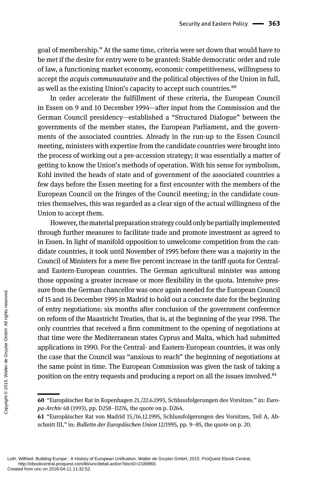goal of membership." At the same time, criteria were set down that would have to be met if the desire for entry were to be granted: Stable democratic order and rule of law, a functioning market economy, economic competitiveness, willingness to accept the *acquis communautaire* and the political objectives of the Union in full, as well as the existing Union's capacity to accept such countries.<sup>60</sup>

In order accelerate the fulfillment of these criteria, the European Council in Essen on 9 and 10 December 1994—after input from the Commission and the German Council presidency—established a "Structured Dialogue" between the governments of the member states, the European Parliament, and the governments of the associated countries. Already in the run-up to the Essen Council meeting, ministers with expertise from the candidate countries were brought into the process of working out a pre-accession strategy; it was essentially a matter of getting to know the Union's methods of operation. With his sense for symbolism, Kohl invited the heads of state and of government of the associated countries a few days before the Essen meeting for a first encounter with the members of the European Council on the fringes of the Council meeting; in the candidate countries themselves, this was regarded as a clear sign of the actual willingness of the Union to accept them.

However, the material preparation strategy could only be partially implemented through further measures to facilitate trade and promote investment as agreed to in Essen. In light of manifold opposition to unwelcome competition from the candidate countries, it took until November of 1995 before there was a majority in the Council of Ministers for a mere five percent increase in the tariff quota for Centraland Eastern-European countries. The German agricultural minister was among those opposing a greater increase or more flexibility in the quota. Intensive pressure from the German chancellor was once again needed for the European Council of 15 and 16 December 1995 in Madrid to hold out a concrete date for the beginning of entry negotiations: six months after conclusion of the government conference on reform of the Maastricht Treaties, that is, at the beginning of the year 1998. The only countries that received a firm commitment to the opening of negotiations at that time were the Mediterranean states Cyprus and Malta, which had submitted applications in 1990. For the Central- and Eastern-European countries, it was only the case that the Council was "anxious to reach" the beginning of negotiations at the same point in time. The European Commission was given the task of taking a position on the entry requests and producing a report on all the issues involved.<sup>61</sup> Sure from the definition of 15 and 16 Decemption of the M only countries that that time were the applications in 199 the case that the C the same point in position on the en applications in 199 the case that the C the sam

**<sup>60</sup>** "Europäischer Rat in Kopenhagen 21./22.6.1993, Schlussfolgerungen des Vorsitzes." in: *Europa-Archiv* 48 (1993), pp. D258–D276, the quote on p. D264.

**<sup>61</sup>** "Europäischer Rat von Madrid 15./16.12.1995, Schlussfolgerungen des Vorsitzes, Teil A, Abschnitt III," in: *Bulletin der Europäischen Union* 12/1995, pp. 9–85, the quote on p. 20.

Loth, Wilfried. Building Europe : A History of European Unification, Walter de Gruyter GmbH, 2015. ProQuest Ebook Central, http://ebookcentral.proquest.com/lib/unc/detail.action?docID=2189960.<br>Created from unc on 2018-04-11 11:32:52.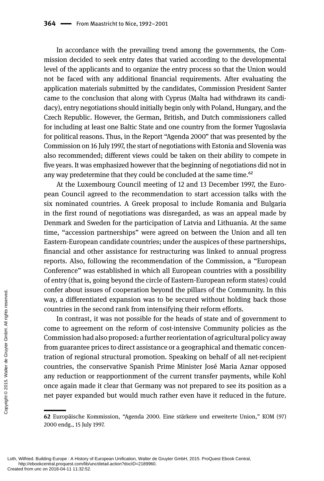In accordance with the prevailing trend among the governments, the Commission decided to seek entry dates that varied according to the developmental level of the applicants and to organize the entry process so that the Union would not be faced with any additional financial requirements. After evaluating the application materials submitted by the candidates, Commission President Santer came to the conclusion that along with Cyprus (Malta had withdrawn its candidacy), entry negotiations should initially begin only with Poland, Hungary, and the Czech Republic. However, the German, British, and Dutch commissioners called for including at least one Baltic State and one country from the former Yugoslavia for political reasons. Thus, in the Report "Agenda 2000" that was presented by the Commission on 16 July 1997, the start of negotiations with Estonia and Slovenia was also recommended; different views could be taken on their ability to compete in five years. It was emphasized however that the beginning of negotiations did not in any way predetermine that they could be concluded at the same time.<sup>62</sup>

At the Luxembourg Council meeting of 12 and 13 December 1997, the European Council agreed to the recommendation to start accession talks with the six nominated countries. A Greek proposal to include Romania and Bulgaria in the first round of negotiations was disregarded, as was an appeal made by Denmark and Sweden for the participation of Latvia and Lithuania. At the same time, "accession partnerships" were agreed on between the Union and all ten Eastern-European candidate countries; under the auspices of these partnerships, financial and other assistance for restructuring was linked to annual progress reports. Also, following the recommendation of the Commission, a "European Conference" was established in which all European countries with a possibility of entry (that is, going beyond the circle of Eastern-European reform states) could confer about issues of cooperation beyond the pillars of the Community. In this way, a differentiated expansion was to be secured without holding back those countries in the second rank from intensifying their reform efforts.

In contrast, it was not possible for the heads of state and of government to come to agreement on the reform of cost-intensive Community policies as the Commission had also proposed: a further reorientation of agricultural policy away from guarantee prices to direct assistance or a geographical and thematic concentration of regional structural promotion. Speaking on behalf of all net-recipient countries, the conservative Spanish Prime Minister José Maria Aznar opposed any reduction or reapportionment of the current transfer payments, while Kohl once again made it clear that Germany was not prepared to see its position as a net payer expanded but would much rather even have it reduced in the future. Commer about Iss<br>
way, a different<br>
countries in the<br>
In contrast,<br>
come to agreen<br>
Commission had<br>
from guarantee<br>
tration of region<br>
countries, the c<br>
any reduction comes again mad<br>
met payer expare<br>  $\overline{\text{sec}}$ <br>  $\overline{\text{$ 

**<sup>62</sup>** Europäische Kommission, "Agenda 2000. Eine stärkere und erweiterte Union," KOM (97) 2000 endg., 15 July 1997.

Loth, Wilfried. Building Europe : A History of European Unification, Walter de Gruyter GmbH, 2015. ProQuest Ebook Central, http://ebookcentral.proquest.com/lib/unc/detail.action?docID=2189960.<br>Created from unc on 2018-04-11 11:32:52.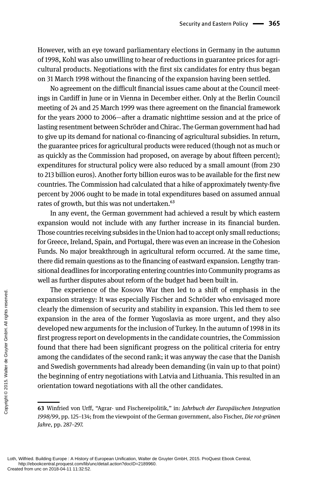However, with an eye toward parliamentary elections in Germany in the autumn of 1998, Kohl was also unwilling to hear of reductions in guarantee prices for agricultural products. Negotiations with the first six candidates for entry thus began on 31 March 1998 without the financing of the expansion having been settled.

No agreement on the difficult financial issues came about at the Council meetings in Cardiff in June or in Vienna in December either. Only at the Berlin Council meeting of 24 and 25 March 1999 was there agreement on the financial framework for the years 2000 to 2006—after a dramatic nighttime session and at the price of lasting resentment between Schröder and Chirac. The German government had had to give up its demand for national co-financing of agricultural subsidies. In return, the guarantee prices for agricultural products were reduced (though not as much or as quickly as the Commission had proposed, on average by about fifteen percent); expenditures for structural policy were also reduced by a small amount (from 230 to 213 billion euros). Another forty billion euros was to be available for the first new countries. The Commission had calculated that a hike of approximately twenty-five percent by 2006 ought to be made in total expenditures based on assumed annual rates of growth, but this was not undertaken.<sup>63</sup>

In any event, the German government had achieved a result by which eastern expansion would not include with any further increase in its financial burden. Those countries receiving subsides in the Union had to accept only small reductions; for Greece, Ireland, Spain, and Portugal, there was even an increase in the Cohesion Funds. No major breakthrough in agricultural reform occurred. At the same time, there did remain questions as to the financing of eastward expansion. Lengthy transitional deadlines for incorporating entering countries into Community programs as well as further disputes about reform of the budget had been built in.

The experience of the Kosovo War then led to a shift of emphasis in the expansion strategy: It was especially Fischer and Schröder who envisaged more clearly the dimension of security and stability in expansion. This led them to see expansion in the area of the former Yugoslavia as more urgent, and they also developed new arguments for the inclusion of Turkey. In the autumn of 1998 in its first progress report on developments in the candidate countries, the Commission found that there had been significant progress on the political criteria for entry among the candidates of the second rank; it was anyway the case that the Danish and Swedish governments had already been demanding (in vain up to that point) the beginning of entry negotiations with Latvia and Lithuania. This resulted in an orientation toward negotiations with all the other candidates. The experient<br>
expansion strateg<br>
clearly the dimenses<br>
expansion in the<br>
developed new arg<br>
first progress repo<br>
found that there l<br>
among the candid<br>
and Swedish gove<br>
the beginning of e<br>
orientation toward<br>  $\frac{65}{25}$ 

**<sup>63</sup>** Winfried von Urff, "Agrar- und Fischereipolitik," in: *Jahrbuch der Europäischen Integration 1998/99*, pp. 125–134; from the viewpoint of the German government, also Fischer, *Die rot-grünen Jahre*, pp. 287–297.

Loth, Wilfried. Building Europe : A History of European Unification, Walter de Gruyter GmbH, 2015. ProQuest Ebook Central, http://ebookcentral.proquest.com/lib/unc/detail.action?docID=2189960.<br>Created from unc on 2018-04-11 11:32:52.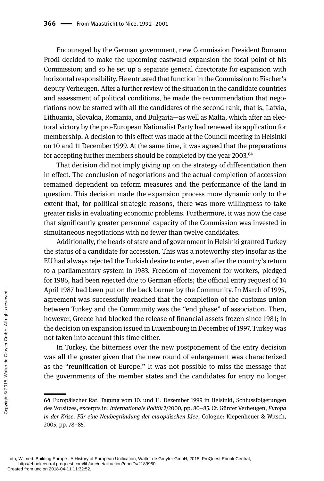Encouraged by the German government, new Commission President Romano Prodi decided to make the upcoming eastward expansion the focal point of his Commission; and so he set up a separate general directorate for expansion with horizontal responsibility. He entrusted that function in the Commission to Fischer's deputy Verheugen. After a further review of the situation in the candidate countries and assessment of political conditions, he made the recommendation that negotiations now be started with all the candidates of the second rank, that is, Latvia, Lithuania, Slovakia, Romania, and Bulgaria—as well as Malta, which after an electoral victory by the pro-European Nationalist Party had renewed its application for membership. A decision to this effect was made at the Council meeting in Helsinki on 10 and 11 December 1999. At the same time, it was agreed that the preparations for accepting further members should be completed by the year 2003.<sup>64</sup>

That decision did not imply giving up on the strategy of differentiation then in effect. The conclusion of negotiations and the actual completion of accession remained dependent on reform measures and the performance of the land in question. This decision made the expansion process more dynamic only to the extent that, for political-strategic reasons, there was more willingness to take greater risks in evaluating economic problems. Furthermore, it was now the case that significantly greater personnel capacity of the Commission was invested in simultaneous negotiations with no fewer than twelve candidates.

Additionally, the heads of state and of government in Helsinki granted Turkey the status of a candidate for accession. This was a noteworthy step insofar as the EU had always rejected the Turkish desire to enter, even after the country's return to a parliamentary system in 1983. Freedom of movement for workers, pledged for 1986, had been rejected due to German efforts; the official entry request of 14 April 1987 had been put on the back burner by the Community. In March of 1995, agreement was successfully reached that the completion of the customs union between Turkey and the Community was the "end phase" of association. Then, however, Greece had blocked the release of financial assets frozen since 1981; in the decision on expansion issued in Luxembourg in December of 1997, Turkey was not taken into account this time either. Experience of the decision on the decision on the decision on the decision on the decision on the decision on the decision on the decision on the decision on the decision on the deriver of the deriver of the gree as the "r

In Turkey, the bitterness over the new postponement of the entry decision was all the greater given that the new round of enlargement was characterized as the "reunification of Europe." It was not possible to miss the message that the governments of the member states and the candidates for entry no longer

**<sup>64</sup>** Europäischer Rat. Tagung vom 10. und 11. Dezember 1999 in Helsinki, Schlussfolgerungen des Vorsitzes, excerpts in: *Internationale Politik* 2/2000, pp. 80–85. Cf. Günter Verheugen, *Europa in der Krise. Für eine Neubegründung der europäischen Idee*, Cologne: Kiepenheuer & Witsch, 2005, pp. 78–85.

Loth, Wilfried. Building Europe : A History of European Unification, Walter de Gruyter GmbH, 2015. ProQuest Ebook Central, http://ebookcentral.proquest.com/lib/unc/detail.action?docID=2189960.<br>Created from unc on 2018-04-11 11:32:52.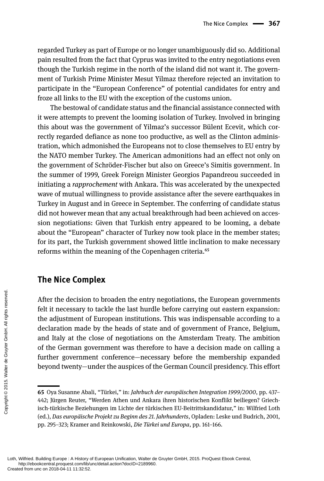regarded Turkey as part of Europe or no longer unambiguously did so. Additional pain resulted from the fact that Cyprus was invited to the entry negotiations even though the Turkish regime in the north of the island did not want it. The government of Turkish Prime Minister Mesut Yilmaz therefore rejected an invitation to participate in the "European Conference" of potential candidates for entry and froze all links to the EU with the exception of the customs union.

The bestowal of candidate status and the financial assistance connected with it were attempts to prevent the looming isolation of Turkey. Involved in bringing this about was the government of Yilmaz's successor Bülent Ecevit, which correctly regarded defiance as none too productive, as well as the Clinton administration, which admonished the Europeans not to close themselves to EU entry by the NATO member Turkey. The American admonitions had an effect not only on the government of Schröder-Fischer but also on Greece's Simitis government. In the summer of 1999, Greek Foreign Minister Georgios Papandreou succeeded in initiating a *rapprochement* with Ankara. This was accelerated by the unexpected wave of mutual willingness to provide assistance after the severe earthquakes in Turkey in August and in Greece in September. The conferring of candidate status did not however mean that any actual breakthrough had been achieved on accession negotiations: Given that Turkish entry appeared to be looming, a debate about the "European" character of Turkey now took place in the member states; for its part, the Turkish government showed little inclination to make necessary reforms within the meaning of the Copenhagen criteria.<sup>65</sup>

## **The Nice Complex**

After the decision to broaden the entry negotiations, the European governments felt it necessary to tackle the last hurdle before carrying out eastern expansion: the adjustment of European institutions. This was indispensable according to a declaration made by the heads of state and of government of France, Belgium, and Italy at the close of negotiations on the Amsterdam Treaty. The ambition of the German government was therefore to have a decision made on calling a further government conference—necessary before the membership expanded beyond twenty—under the auspices of the German Council presidency. This effort From the decision<br>
felt it necessary to<br>
the adjustment of<br>
declaration made<br>
and Italy at the c<br>
of the German go<br>
further governme<br>
beyond twenty—u<br>
served.<br>
Served.<br>
Served.<br>
From the 442; Jürgen Reuter,<br>
et (ed.), *Da* 

**<sup>65</sup>** Oya Susanne Abali, "Türkei," in: *Jahrbuch der europäischen Integration 1999/2000*, pp. 437– 442; Jürgen Reuter, "Werden Athen und Ankara ihren historischen Konflikt beiliegen? Griechisch-türkische Beziehungen im Lichte der türkischen EU-Beitrittskandidatur," in: Wilfried Loth (ed.), *Das europäische Projekt zu Beginn des 21. Jahrhunderts*, Opladen: Leske und Budrich, 2001, pp. 295–323; Kramer and Reinkowski, *Die Türkei und Europa*, pp. 161–166.

Loth, Wilfried. Building Europe : A History of European Unification, Walter de Gruyter GmbH, 2015. ProQuest Ebook Central, http://ebookcentral.proquest.com/lib/unc/detail.action?docID=2189960.<br>Created from unc on 2018-04-11 11:32:52.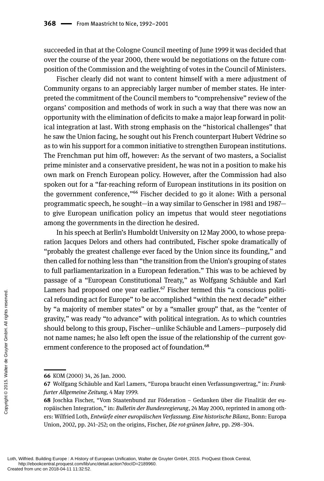succeeded in that at the Cologne Council meeting of June 1999 it was decided that over the course of the year 2000, there would be negotiations on the future composition of the Commission and the weighting of votes in the Council of Ministers.

Fischer clearly did not want to content himself with a mere adjustment of Community organs to an appreciably larger number of member states. He interpreted the commitment of the Council members to "comprehensive" review of the organs' composition and methods of work in such a way that there was now an opportunity with the elimination of deficits to make a major leap forward in political integration at last. With strong emphasis on the "historical challenges" that he saw the Union facing, he sought out his French counterpart Hubert Védrine so as to win his support for a common initiative to strengthen European institutions. The Frenchman put him off, however: As the servant of two masters, a Socialist prime minister and a conservative president, he was not in a position to make his own mark on French European policy. However, after the Commission had also spoken out for a "far-reaching reform of European institutions in its position on the government conference,"<sup>66</sup> Fischer decided to go it alone: With a personal programmatic speech, he sought—in a way similar to Genscher in 1981 and 1987 to give European unification policy an impetus that would steer negotiations among the governments in the direction he desired.

In his speech at Berlin's Humboldt University on 12 May 2000, to whose preparation Jacques Delors and others had contributed, Fischer spoke dramatically of "probably the greatest challenge ever faced by the Union since its founding," and then called for nothing less than "the transition from the Union's grouping of states to full parliamentarization in a European federation." This was to be achieved by passage of a "European Constitutional Treaty," as Wolfgang Schäuble and Karl Lamers had proposed one year earlier.<sup> $67$ </sup> Fischer termed this "a conscious political refounding act for Europe" to be accomplished "within the next decade" either by "a majority of member states" or by a "smaller group" that, as the "center of gravity," was ready "to advance" with political integration. As to which countries should belong to this group, Fischer—unlike Schäuble and Lamers—purposely did not name names; he also left open the issue of the relationship of the current government conference to the proposed act of foundation.<sup>68</sup> Created from unc on 2018-04-11 11:32:52.<br>Created from unconclusions of the Microsland Created from unconclusions of the Microsland Created from unconclusions of the Microsland Created from unconclusions of the Microsland

**<sup>66</sup>** KOM (2000) 34, 26 Jan. 2000.

**<sup>67</sup>** Wolfgang Schäuble and Karl Lamers, "Europa braucht einen Verfassungsvertrag," in: *Frankfurter Allgemeine Zeitung,* 4 May 1999.

**<sup>68</sup>** Joschka Fischer, "Vom Staatenbund zur Föderation – Gedanken über die Finalität der europäischen Integration," in: *Bulletin der Bundesregierung*, 24 May 2000, reprinted in among others: Wilfried Loth, *Entwürfe einer europäischen Verfassung. Eine historische Bilanz*, Bonn: Europa Union, 2002, pp. 241–252; on the origins, Fischer, *Die rot-grünen Jahre*, pp. 298–304.

Loth, Wilfried. Building Europe : A History of European Unification, Walter de Gruyter GmbH, 2015. ProQuest Ebook Central, http://ebookcentral.proquest.com/lib/unc/detail.action?docID=2189960.<br>Created from unc on 2018-04-11 11:32:52.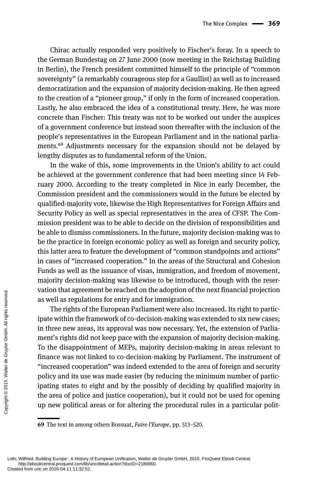Chirac actually responded very positively to Fischer's foray. In a speech to the German Bundestag on 27 June 2000 (now meeting in the Reichstag Building in Berlin), the French president committed himself to the principle of "common sovereignty" (a remarkably courageous step for a Gaullist) as well as to increased democratization and the expansion of majority decision-making. He then agreed to the creation of a "pioneer group," if only in the form of increased cooperation. Lastly, he also embraced the idea of a constitutional treaty. Here, he was more concrete than Fischer: This treaty was not to be worked out under the auspices of a government conference but instead soon thereafter with the inclusion of the people's representatives in the European Parliament and in the national parliaments.<sup>69</sup> Adjustments necessary for the expansion should not be delayed by lengthy disputes as to fundamental reform of the Union.

In the wake of this, some improvements in the Union's ability to act could be achieved at the government conference that had been meeting since 14 February 2000. According to the treaty completed in Nice in early December, the Commission president and the commissioners would in the future be elected by qualified-majority vote, likewise the High Representatives for Foreign Affairs and Security Policy as well as special representatives in the area of CFSP. The Commission president was to be able to decide on the division of responsibilities and be able to dismiss commissioners. In the future, majority decision-making was to be the practice in foreign economic policy as well as foreign and security policy, this latter area to feature the development of "common standpoints and actions" in cases of "increased cooperation." In the areas of the Structural and Cohesion Funds as well as the issuance of visas, immigration, and freedom of movement, majority decision-making was likewise to be introduced, though with the reservation that agreement be reached on the adoption of the next financial projection as well as regulations for entry and for immigration.

The rights of the European Parliament were also increased. Its right to participate within the framework of co-decision-making was extended to six new cases; in three new areas, its approval was now necessary. Yet, the extension of Parliament's rights did not keep pace with the expansion of majority decision-making. To the disappointment of MEPs, majority decision-making in areas relevant to finance was not linked to co-decision-making by Parliament. The instrument of "increased cooperation" was indeed extended to the area of foreign and security policy and its use was made easier (by reducing the minimum number of participating states to eight and by the possibly of deciding by qualified majority in the area of police and justice cooperation), but it could not be used for opening up new political areas or for altering the procedural rules in a particular polit-Vation that agreen<br>
as well as regulation<br>
in three new areas<br>
ment's rights did<br>
To the disappoint<br>
finance was not limit<br>
"increased cooper<br>
policy and its use<br>
ipating states to the area of police<br>
up new political<br> **69** 

**<sup>69</sup>** The text in among others Bossuat, *Faire l'Europe*, pp. 513–520.

Loth, Wilfried. Building Europe : A History of European Unification, Walter de Gruyter GmbH, 2015. ProQuest Ebook Central, http://ebookcentral.proquest.com/lib/unc/detail.action?docID=2189960.<br>Created from unc on 2018-04-11 11:32:52.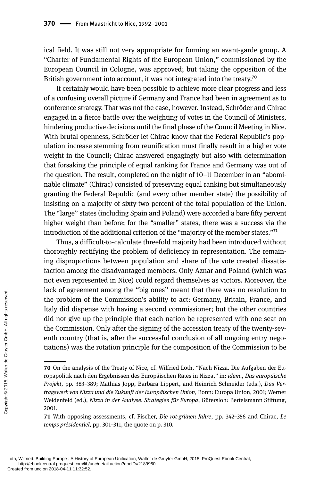ical field. It was still not very appropriate for forming an avant-garde group. A "Charter of Fundamental Rights of the European Union," commissioned by the European Council in Cologne, was approved; but taking the opposition of the British government into account, it was not integrated into the treaty.<sup>70</sup>

It certainly would have been possible to achieve more clear progress and less of a confusing overall picture if Germany and France had been in agreement as to conference strategy. That was not the case, however. Instead, Schröder and Chirac engaged in a fierce battle over the weighting of votes in the Council of Ministers, hindering productive decisions until the final phase of the Council Meeting in Nice. With brutal openness, Schröder let Chirac know that the Federal Republic's population increase stemming from reunification must finally result in a higher vote weight in the Council; Chirac answered engagingly but also with determination that forsaking the principle of equal ranking for France and Germany was out of the question. The result, completed on the night of 10–11 December in an "abominable climate" (Chirac) consisted of preserving equal ranking but simultaneously granting the Federal Republic (and every other member state) the possibility of insisting on a majority of sixty-two percent of the total population of the Union. The "large" states (including Spain and Poland) were accorded a bare fifty percent higher weight than before; for the "smaller" states, there was a success via the introduction of the additional criterion of the "majority of the member states."71

Thus, a difficult-to-calculate threefold majority had been introduced without thoroughly rectifying the problem of deficiency in representation. The remaining disproportions between population and share of the vote created dissatisfaction among the disadvantaged members. Only Aznar and Poland (which was not even represented in Nice) could regard themselves as victors. Moreover, the lack of agreement among the "big ones" meant that there was no resolution to the problem of the Commission's ability to act: Germany, Britain, France, and Italy did dispense with having a second commissioner; but the other countries did not give up the principle that each nation be represented with one seat on the Commission. Only after the signing of the accession treaty of the twenty-seventh country (that is, after the successful conclusion of all ongoing entry negotiations) was the rotation principle for the composition of the Commission to be From the problem of<br>
Leady did not give up<br>
the Commission<br>
enth country (tl<br>
tiations) was th<br>  $\frac{20}{25}$ <br>  $\frac{20}{25}$ <br>  $\frac{20}{25}$ <br>  $\frac{200}{2001}$ <br>
To On the analysis<br>
repapolitik nach d<br>
Projekt, pp. 383–33<br> *tragswer* 

**<sup>70</sup>** On the analysis of the Treaty of Nice, cf. Wilfried Loth, "Nach Nizza. Die Aufgaben der Europapolitik nach den Ergebnissen des Europäischen Rates in Nizza," in: *idem*., *Das europäische Projekt*, pp. 383–389; Mathias Jopp, Barbara Lippert, and Heinrich Schneider (eds.), *Das Vertragswerk von Nizza und die Zukunft der Europäischen Union*, Bonn: Europa Union, 2001; Werner Weidenfeld (ed.), *Nizza in der Analyse. Strategien für Europa*, Gütersloh: Bertelsmann Stiftung, 2001.

**<sup>71</sup>** With opposing assessments, cf. Fischer, *Die rot-grünen Jahre*, pp. 342–356 and Chirac, *Le temps présidentiel*, pp. 301–311, the quote on p. 310.

Loth, Wilfried. Building Europe : A History of European Unification, Walter de Gruyter GmbH, 2015. ProQuest Ebook Central, http://ebookcentral.proquest.com/lib/unc/detail.action?docID=2189960.<br>Created from unc on 2018-04-11 11:32:52.